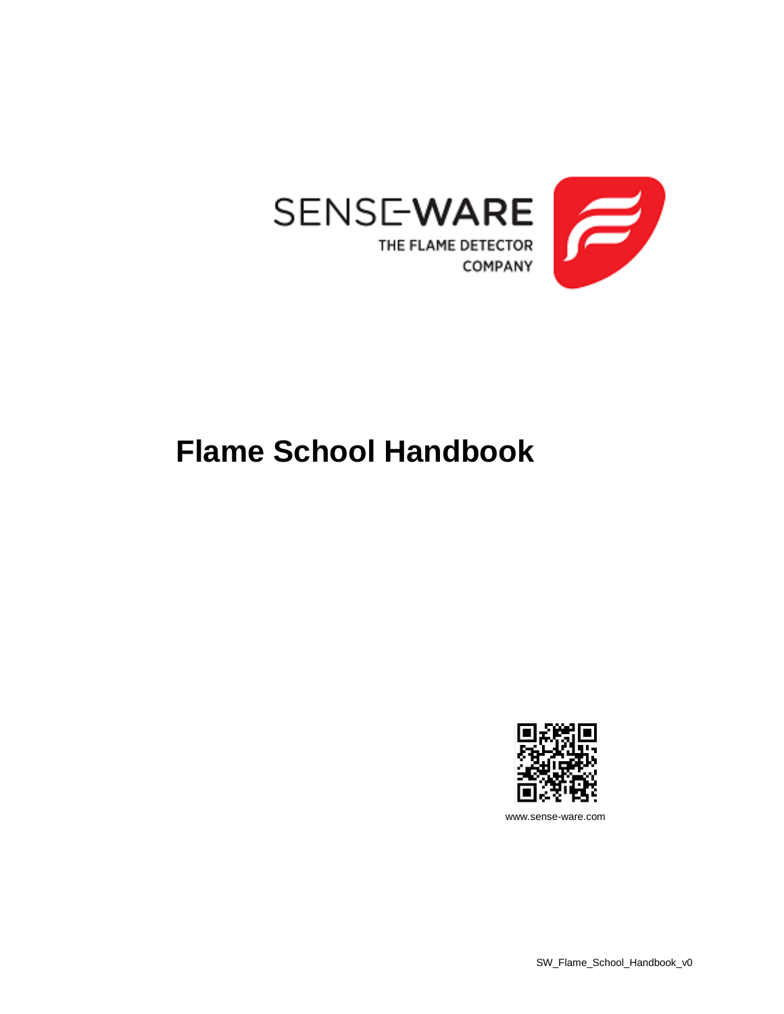

## **Flame School Handbook**



www.sense-ware.com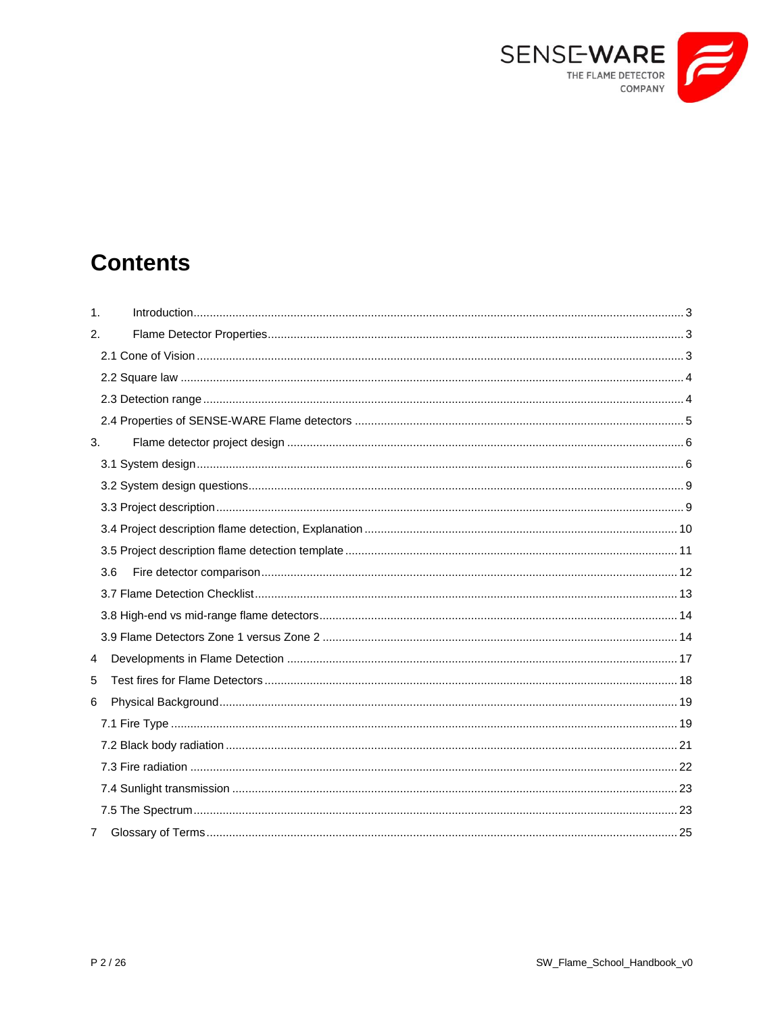

## **Contents**

| $\mathbf{1}$ . |     |  |
|----------------|-----|--|
| 2.             |     |  |
|                |     |  |
|                |     |  |
|                |     |  |
|                |     |  |
| 3.             |     |  |
|                |     |  |
|                |     |  |
|                |     |  |
|                |     |  |
|                |     |  |
|                | 3.6 |  |
|                |     |  |
|                |     |  |
|                |     |  |
| 4              |     |  |
| 5              |     |  |
| 6              |     |  |
|                |     |  |
|                |     |  |
|                |     |  |
|                |     |  |
|                |     |  |
| 7              |     |  |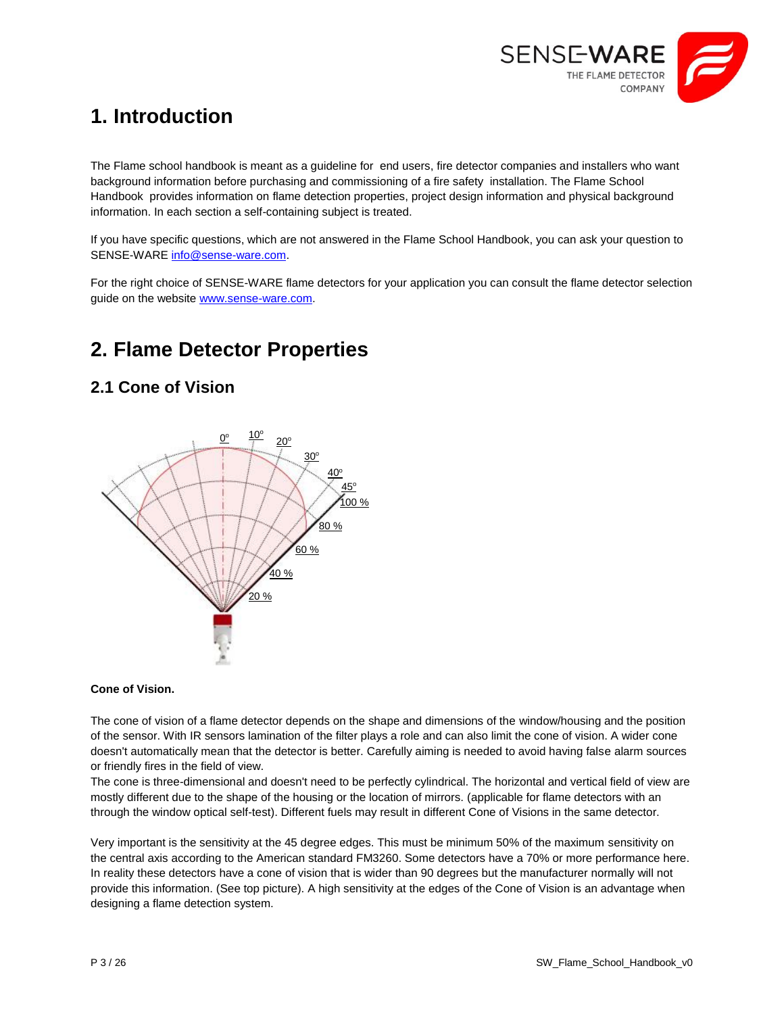

## <span id="page-2-0"></span>**1. Introduction**

The Flame school handbook is meant as a guideline for end users, fire detector companies and installers who want background information before purchasing and commissioning of a fire safety installation. The Flame School Handbook provides information on flame detection properties, project design information and physical background information. In each section a self-containing subject is treated.

If you have specific questions, which are not answered in the Flame School Handbook, you can ask your question to SENSE-WARE [info@sense-ware.com.](mailto:info@sense-ware.com)

For the right choice of SENSE-WARE flame detectors for your application you can consult the flame detector selection guide on the website [www.sense-ware.com.](http://www.sense-ware.com/)

## <span id="page-2-1"></span>**2. Flame Detector Properties**

## <span id="page-2-2"></span>**2.1 Cone of Vision**



#### **Cone of Vision.**

The cone of vision of a flame detector depends on the shape and dimensions of the window/housing and the position of the sensor. With IR sensors lamination of the filter plays a role and can also limit the cone of vision. A wider cone doesn't automatically mean that the detector is better. Carefully aiming is needed to avoid having false alarm sources or friendly fires in the field of view.

The cone is three-dimensional and doesn't need to be perfectly cylindrical. The horizontal and vertical field of view are mostly different due to the shape of the housing or the location of mirrors. (applicable for flame detectors with an through the window optical self-test). Different fuels may result in different Cone of Visions in the same detector.

Very important is the sensitivity at the 45 degree edges. This must be minimum 50% of the maximum sensitivity on the central axis according to the American standard FM3260. Some detectors have a 70% or more performance here. In reality these detectors have a cone of vision that is wider than 90 degrees but the manufacturer normally will not provide this information. (See top picture). A high sensitivity at the edges of the Cone of Vision is an advantage when designing a flame detection system.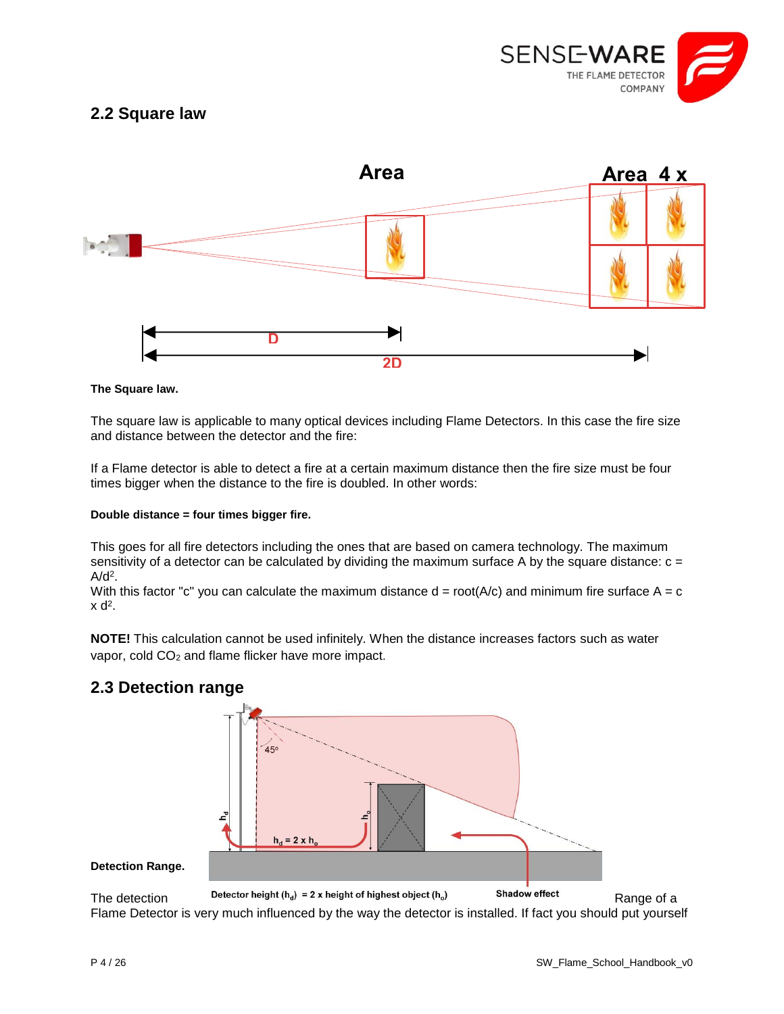

## <span id="page-3-0"></span>**2.2 Square law**



#### **The Square law.**

The square law is applicable to many optical devices including Flame Detectors. In this case the fire size and distance between the detector and the fire:

If a Flame detector is able to detect a fire at a certain maximum distance then the fire size must be four times bigger when the distance to the fire is doubled. In other words:

#### **Double distance = four times bigger fire.**

This goes for all fire detectors including the ones that are based on camera technology. The maximum sensitivity of a detector can be calculated by dividing the maximum surface A by the square distance:  $c =$  $A/d<sup>2</sup>$ .

With this factor "c" you can calculate the maximum distance  $d = root(A/c)$  and minimum fire surface  $A = c$  $x d<sup>2</sup>$ .

**NOTE!** This calculation cannot be used infinitely. When the distance increases factors such as water vapor, cold CO<sub>2</sub> and flame flicker have more impact.



## <span id="page-3-1"></span>**2.3 Detection range**

Flame Detector is very much influenced by the way the detector is installed. If fact you should put yourself

**Detection Range.**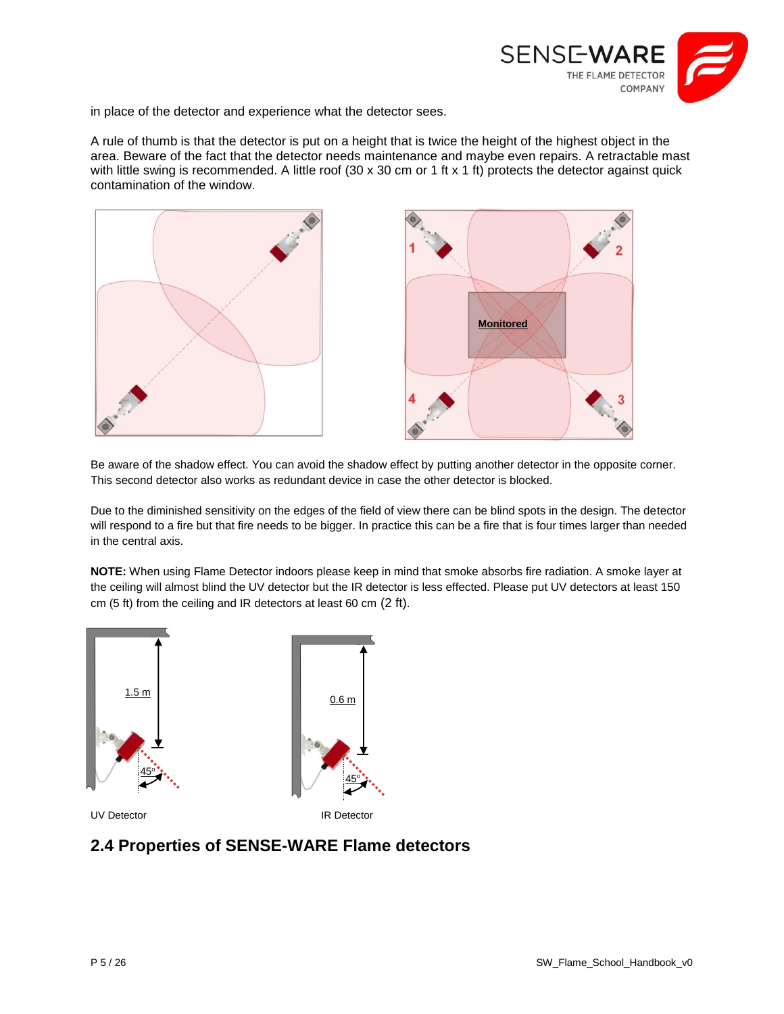

in place of the detector and experience what the detector sees.

A rule of thumb is that the detector is put on a height that is twice the height of the highest object in the area. Beware of the fact that the detector needs maintenance and maybe even repairs. A retractable mast with little swing is recommended. A little roof (30 x 30 cm or 1 ft x 1 ft) protects the detector against quick contamination of the window.





Be aware of the shadow effect. You can avoid the shadow effect by putting another detector in the opposite corner. This second detector also works as redundant device in case the other detector is blocked.

Due to the diminished sensitivity on the edges of the field of view there can be blind spots in the design. The detector will respond to a fire but that fire needs to be bigger. In practice this can be a fire that is four times larger than needed in the central axis.

**NOTE:** When using Flame Detector indoors please keep in mind that smoke absorbs fire radiation. A smoke layer at the ceiling will almost blind the UV detector but the IR detector is less effected. Please put UV detectors at least 150 cm (5 ft) from the ceiling and IR detectors at least 60 cm (2 ft).



## <span id="page-4-0"></span>**2.4 Properties of SENSE-WARE Flame detectors**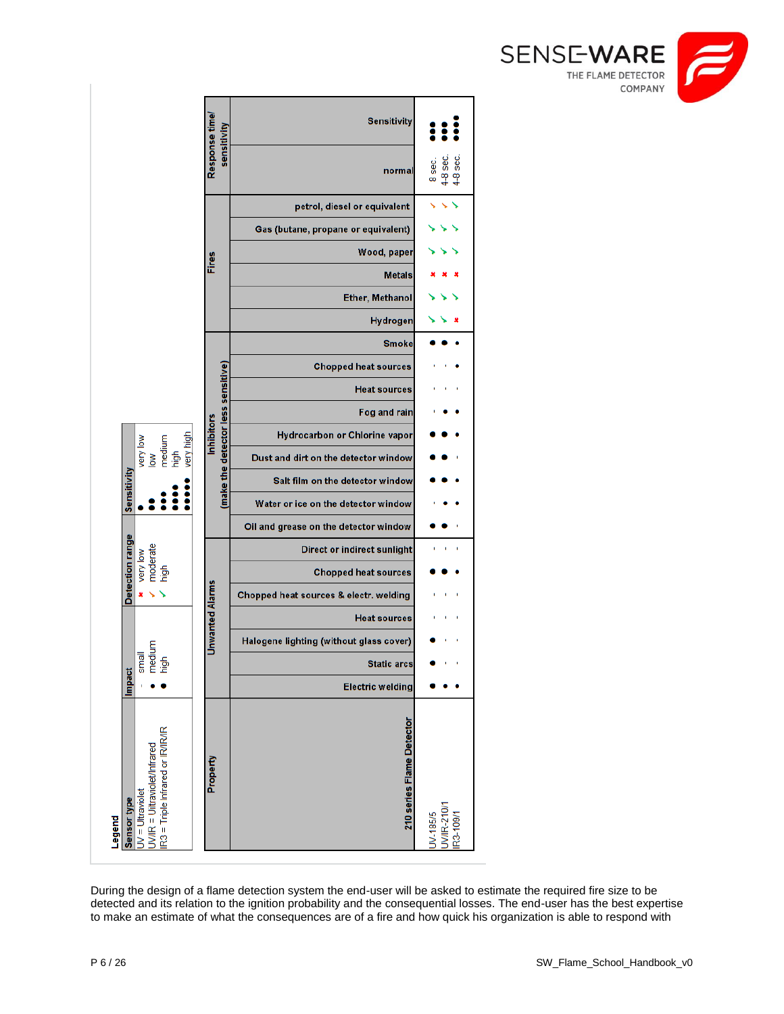



<span id="page-5-1"></span><span id="page-5-0"></span>During the design of a flame detection system the end-user will be asked to estimate the required fire size to be detected and its relation to the ignition probability and the consequential losses. The end-user has the best expertise to make an estimate of what the consequences are of a fire and how quick his organization is able to respond with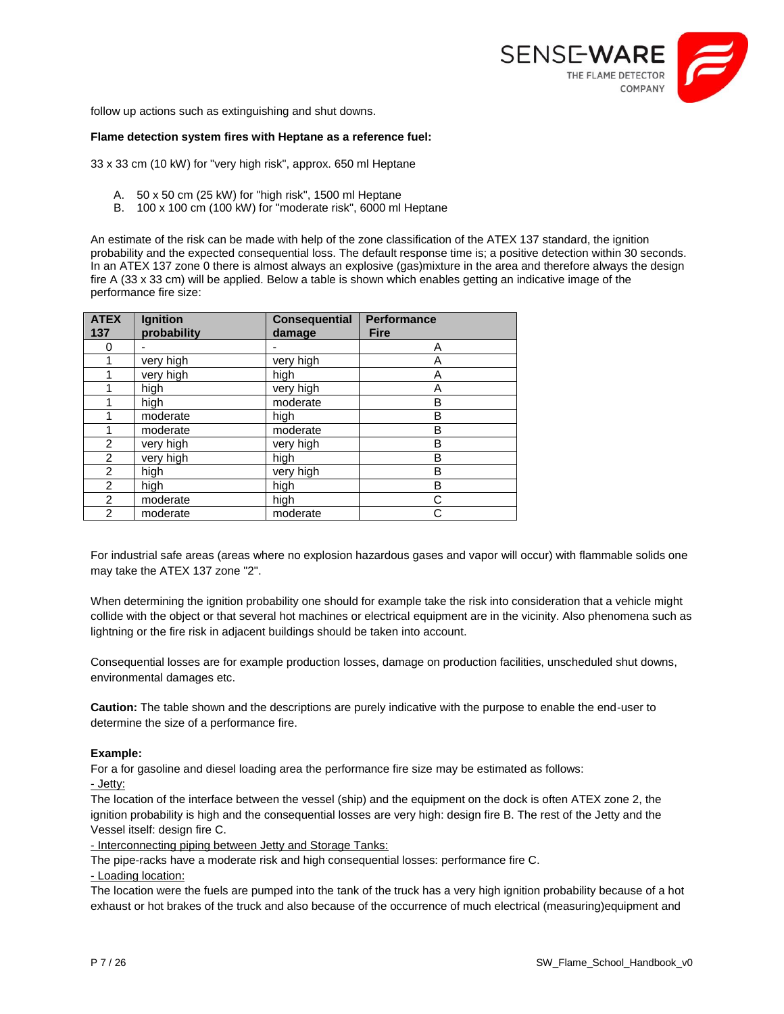

follow up actions such as extinguishing and shut downs.

#### **Flame detection system fires with Heptane as a reference fuel:**

33 x 33 cm (10 kW) for "very high risk", approx. 650 ml Heptane

- A. 50 x 50 cm (25 kW) for "high risk", 1500 ml Heptane
- B. 100 x 100 cm (100 kW) for "moderate risk", 6000 ml Heptane

An estimate of the risk can be made with help of the zone classification of the ATEX 137 standard, the ignition probability and the expected consequential loss. The default response time is; a positive detection within 30 seconds. In an ATEX 137 zone 0 there is almost always an explosive (gas)mixture in the area and therefore always the design fire A (33 x 33 cm) will be applied. Below a table is shown which enables getting an indicative image of the performance fire size:

| <b>ATEX</b><br>137 | Ignition<br>probability | <b>Consequential</b><br>damage | <b>Performance</b><br><b>Fire</b> |
|--------------------|-------------------------|--------------------------------|-----------------------------------|
| 0                  |                         |                                | Α                                 |
|                    | very high               | very high                      | Α                                 |
|                    | very high               | high                           | A                                 |
|                    | high                    | very high                      | Α                                 |
|                    | high                    | moderate                       | в                                 |
|                    | moderate                | high                           | B                                 |
|                    | moderate                | moderate                       | В                                 |
| $\overline{2}$     | very high               | very high                      | B                                 |
| $\overline{2}$     | very high               | high                           | B                                 |
| $\overline{2}$     | high                    | very high                      | в                                 |
| 2                  | high                    | high                           | B                                 |
| 2                  | moderate                | high                           | С                                 |
| $\overline{2}$     | moderate                | moderate                       | С                                 |

For industrial safe areas (areas where no explosion hazardous gases and vapor will occur) with flammable solids one may take the ATEX 137 zone "2".

When determining the ignition probability one should for example take the risk into consideration that a vehicle might collide with the object or that several hot machines or electrical equipment are in the vicinity. Also phenomena such as lightning or the fire risk in adjacent buildings should be taken into account.

Consequential losses are for example production losses, damage on production facilities, unscheduled shut downs, environmental damages etc.

**Caution:** The table shown and the descriptions are purely indicative with the purpose to enable the end-user to determine the size of a performance fire.

#### **Example:**

For a for gasoline and diesel loading area the performance fire size may be estimated as follows:

- Jetty:

The location of the interface between the vessel (ship) and the equipment on the dock is often ATEX zone 2, the ignition probability is high and the consequential losses are very high: design fire B. The rest of the Jetty and the Vessel itself: design fire C.

- Interconnecting piping between Jetty and Storage Tanks:

The pipe-racks have a moderate risk and high consequential losses: performance fire C.

- Loading location:

The location were the fuels are pumped into the tank of the truck has a very high ignition probability because of a hot exhaust or hot brakes of the truck and also because of the occurrence of much electrical (measuring)equipment and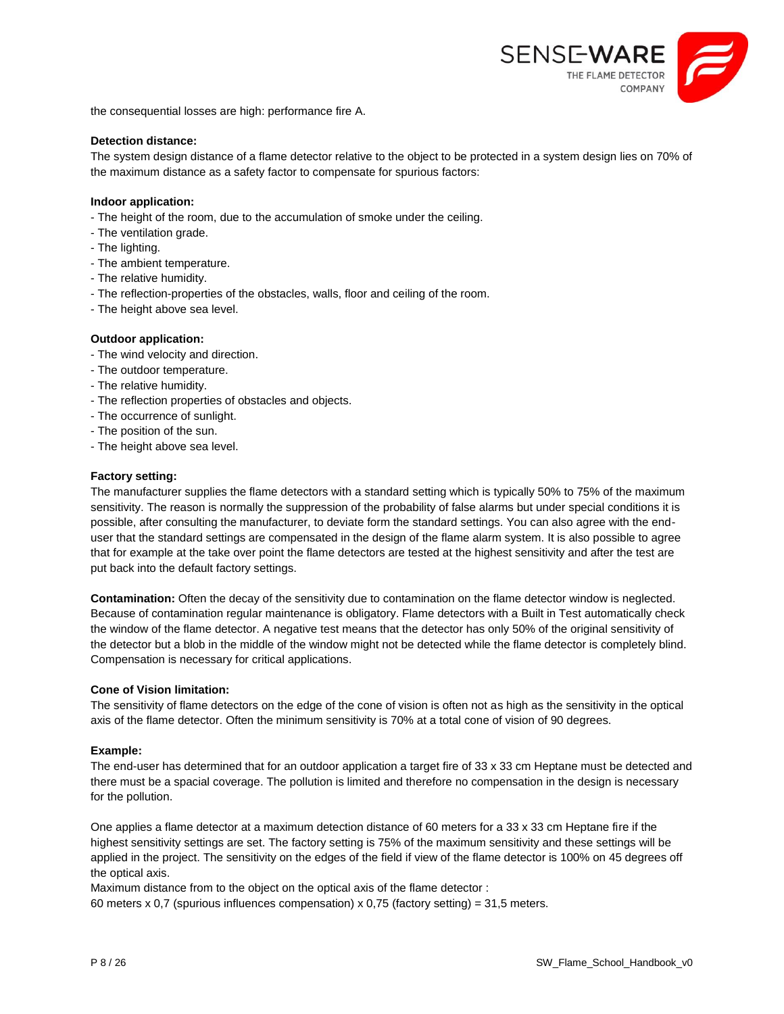

the consequential losses are high: performance fire A.

#### **Detection distance:**

The system design distance of a flame detector relative to the object to be protected in a system design lies on 70% of the maximum distance as a safety factor to compensate for spurious factors:

#### **Indoor application:**

- The height of the room, due to the accumulation of smoke under the ceiling.
- The ventilation grade.
- The lighting.
- The ambient temperature.
- The relative humidity.
- The reflection-properties of the obstacles, walls, floor and ceiling of the room.
- The height above sea level.

#### **Outdoor application:**

- The wind velocity and direction.
- The outdoor temperature.
- The relative humidity.
- The reflection properties of obstacles and objects.
- The occurrence of sunlight.
- The position of the sun.
- The height above sea level.

#### **Factory setting:**

The manufacturer supplies the flame detectors with a standard setting which is typically 50% to 75% of the maximum sensitivity. The reason is normally the suppression of the probability of false alarms but under special conditions it is possible, after consulting the manufacturer, to deviate form the standard settings. You can also agree with the enduser that the standard settings are compensated in the design of the flame alarm system. It is also possible to agree that for example at the take over point the flame detectors are tested at the highest sensitivity and after the test are put back into the default factory settings.

**Contamination:** Often the decay of the sensitivity due to contamination on the flame detector window is neglected. Because of contamination regular maintenance is obligatory. Flame detectors with a Built in Test automatically check the window of the flame detector. A negative test means that the detector has only 50% of the original sensitivity of the detector but a blob in the middle of the window might not be detected while the flame detector is completely blind. Compensation is necessary for critical applications.

#### **Cone of Vision limitation:**

The sensitivity of flame detectors on the edge of the cone of vision is often not as high as the sensitivity in the optical axis of the flame detector. Often the minimum sensitivity is 70% at a total cone of vision of 90 degrees.

#### **Example:**

The end-user has determined that for an outdoor application a target fire of 33 x 33 cm Heptane must be detected and there must be a spacial coverage. The pollution is limited and therefore no compensation in the design is necessary for the pollution.

One applies a flame detector at a maximum detection distance of 60 meters for a 33 x 33 cm Heptane fire if the highest sensitivity settings are set. The factory setting is 75% of the maximum sensitivity and these settings will be applied in the project. The sensitivity on the edges of the field if view of the flame detector is 100% on 45 degrees off the optical axis.

Maximum distance from to the object on the optical axis of the flame detector : 60 meters x 0,7 (spurious influences compensation) x 0,75 (factory setting) = 31,5 meters.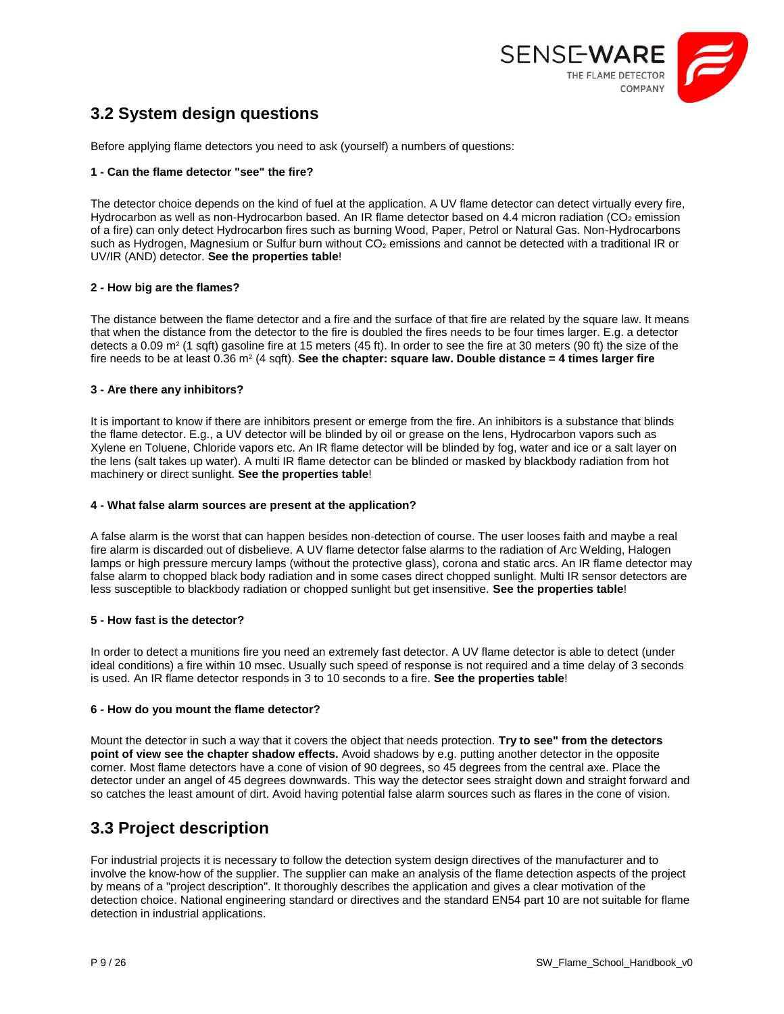

## <span id="page-8-0"></span>**3.2 System design questions**

Before applying flame detectors you need to ask (yourself) a numbers of questions:

#### **1 - Can the flame detector "see" the fire?**

The detector choice depends on the kind of fuel at the application. A UV flame detector can detect virtually every fire, Hydrocarbon as well as non-Hydrocarbon based. An IR flame detector based on 4.4 micron radiation (CO<sub>2</sub> emission of a fire) can only detect Hydrocarbon fires such as burning Wood, Paper, Petrol or Natural Gas. Non-Hydrocarbons such as Hydrogen, Magnesium or Sulfur burn without  $CO<sub>2</sub>$  emissions and cannot be detected with a traditional IR or UV/IR (AND) detector. **See the properties table**!

#### **2 - How big are the flames?**

The distance between the flame detector and a fire and the surface of that fire are related by the square law. It means that when the distance from the detector to the fire is doubled the fires needs to be four times larger. E.g. a detector detects a 0.09 m<sup>2</sup> (1 sqft) gasoline fire at 15 meters (45 ft). In order to see the fire at 30 meters (90 ft) the size of the fire needs to be at least 0.36 m² (4 sqft). **See the chapter: square law. Double distance = 4 times larger fire** 

#### **3 - Are there any inhibitors?**

It is important to know if there are inhibitors present or emerge from the fire. An inhibitors is a substance that blinds the flame detector. E.g., a UV detector will be blinded by oil or grease on the lens, Hydrocarbon vapors such as Xylene en Toluene, Chloride vapors etc. An IR flame detector will be blinded by fog, water and ice or a salt layer on the lens (salt takes up water). A multi IR flame detector can be blinded or masked by blackbody radiation from hot machinery or direct sunlight. **See the properties table**!

#### **4 - What false alarm sources are present at the application?**

A false alarm is the worst that can happen besides non-detection of course. The user looses faith and maybe a real fire alarm is discarded out of disbelieve. A UV flame detector false alarms to the radiation of Arc Welding, Halogen lamps or high pressure mercury lamps (without the protective glass), corona and static arcs. An IR flame detector may false alarm to chopped black body radiation and in some cases direct chopped sunlight. Multi IR sensor detectors are less susceptible to blackbody radiation or chopped sunlight but get insensitive. **See the properties table**!

#### **5 - How fast is the detector?**

In order to detect a munitions fire you need an extremely fast detector. A UV flame detector is able to detect (under ideal conditions) a fire within 10 msec. Usually such speed of response is not required and a time delay of 3 seconds is used. An IR flame detector responds in 3 to 10 seconds to a fire. **See the properties table**!

#### **6 - How do you mount the flame detector?**

Mount the detector in such a way that it covers the object that needs protection. **Try to see" from the detectors point of view see the chapter shadow effects.** Avoid shadows by e.g. putting another detector in the opposite corner. Most flame detectors have a cone of vision of 90 degrees, so 45 degrees from the central axe. Place the detector under an angel of 45 degrees downwards. This way the detector sees straight down and straight forward and so catches the least amount of dirt. Avoid having potential false alarm sources such as flares in the cone of vision.

## <span id="page-8-1"></span>**3.3 Project description**

For industrial projects it is necessary to follow the detection system design directives of the manufacturer and to involve the know-how of the supplier. The supplier can make an analysis of the flame detection aspects of the project by means of a "project description". It thoroughly describes the application and gives a clear motivation of the detection choice. National engineering standard or directives and the standard EN54 part 10 are not suitable for flame detection in industrial applications.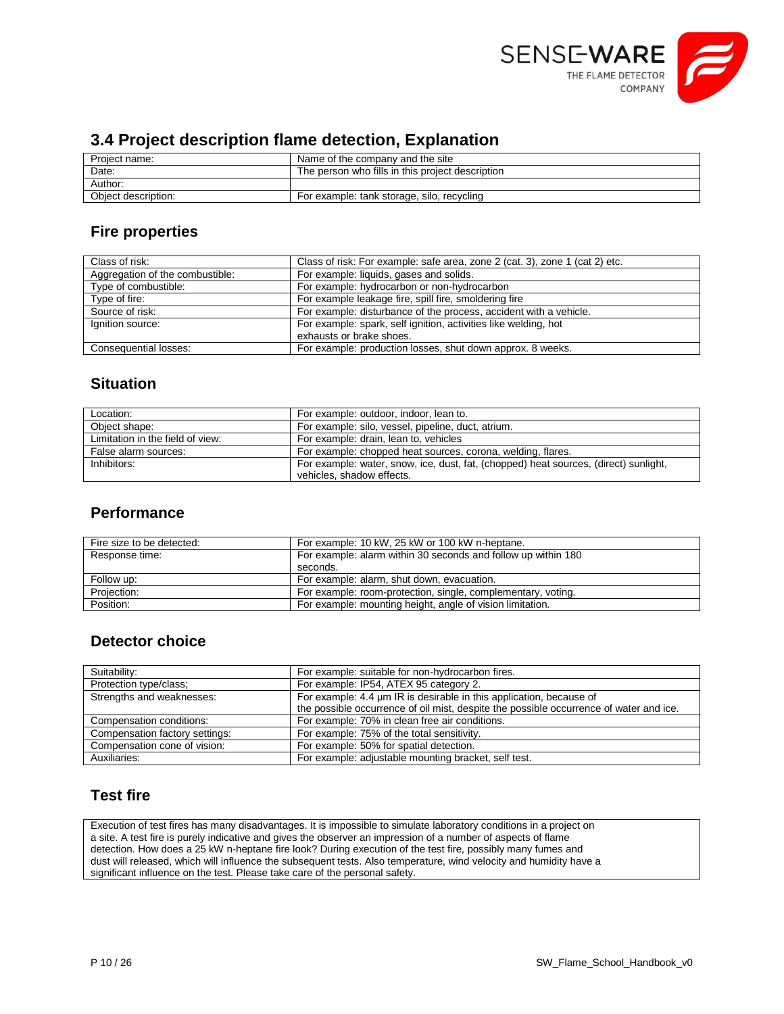

## <span id="page-9-0"></span>**3.4 Project description flame detection, Explanation**

| Project name:       | Name of the company and the site                 |
|---------------------|--------------------------------------------------|
| Date:               | The person who fills in this project description |
| Author:             |                                                  |
| Object description: | For example: tank storage, silo, recycling       |

## **Fire properties**

| Class of risk:                  | Class of risk: For example: safe area, zone 2 (cat. 3), zone 1 (cat 2) etc. |
|---------------------------------|-----------------------------------------------------------------------------|
| Aggregation of the combustible: | For example: liquids, gases and solids.                                     |
| Type of combustible:            | For example: hydrocarbon or non-hydrocarbon                                 |
| Type of fire:                   | For example leakage fire, spill fire, smoldering fire                       |
| Source of risk:                 | For example: disturbance of the process, accident with a vehicle.           |
| Ignition source:                | For example: spark, self ignition, activities like welding, hot             |
|                                 | exhausts or brake shoes.                                                    |
| Consequential losses:           | For example: production losses, shut down approx. 8 weeks.                  |

## **Situation**

| Location:                        | For example: outdoor, indoor, lean to.                                                                            |
|----------------------------------|-------------------------------------------------------------------------------------------------------------------|
| Obiect shape:                    | For example: silo, vessel, pipeline, duct, atrium.                                                                |
| Limitation in the field of view: | For example: drain, lean to, vehicles                                                                             |
| False alarm sources:             | For example: chopped heat sources, corona, welding, flares.                                                       |
| Inhibitors:                      | For example: water, snow, ice, dust, fat, (chopped) heat sources, (direct) sunlight,<br>vehicles, shadow effects. |

## **Performance**

| Fire size to be detected: | For example: 10 kW, 25 kW or 100 kW n-heptane.                |
|---------------------------|---------------------------------------------------------------|
| Response time:            | For example: alarm within 30 seconds and follow up within 180 |
|                           | seconds.                                                      |
| Follow up:                | For example: alarm, shut down, evacuation.                    |
| Projection:               | For example: room-protection, single, complementary, voting.  |
| Position:                 | For example: mounting height, angle of vision limitation.     |

## **Detector choice**

| Suitability:                   | For example: suitable for non-hydrocarbon fires.                                       |
|--------------------------------|----------------------------------------------------------------------------------------|
| Protection type/class;         | For example: IP54, ATEX 95 category 2.                                                 |
| Strengths and weaknesses:      | For example: 4.4 µm IR is desirable in this application, because of                    |
|                                | the possible occurrence of oil mist, despite the possible occurrence of water and ice. |
| Compensation conditions:       | For example: 70% in clean free air conditions.                                         |
| Compensation factory settings: | For example: 75% of the total sensitivity.                                             |
| Compensation cone of vision:   | For example: 50% for spatial detection.                                                |
| Auxiliaries:                   | For example: adjustable mounting bracket, self test.                                   |

## **Test fire**

Execution of test fires has many disadvantages. It is impossible to simulate laboratory conditions in a project on a site. A test fire is purely indicative and gives the observer an impression of a number of aspects of flame detection. How does a 25 kW n-heptane fire look? During execution of the test fire, possibly many fumes and dust will released, which will influence the subsequent tests. Also temperature, wind velocity and humidity have a significant influence on the test. Please take care of the personal safety.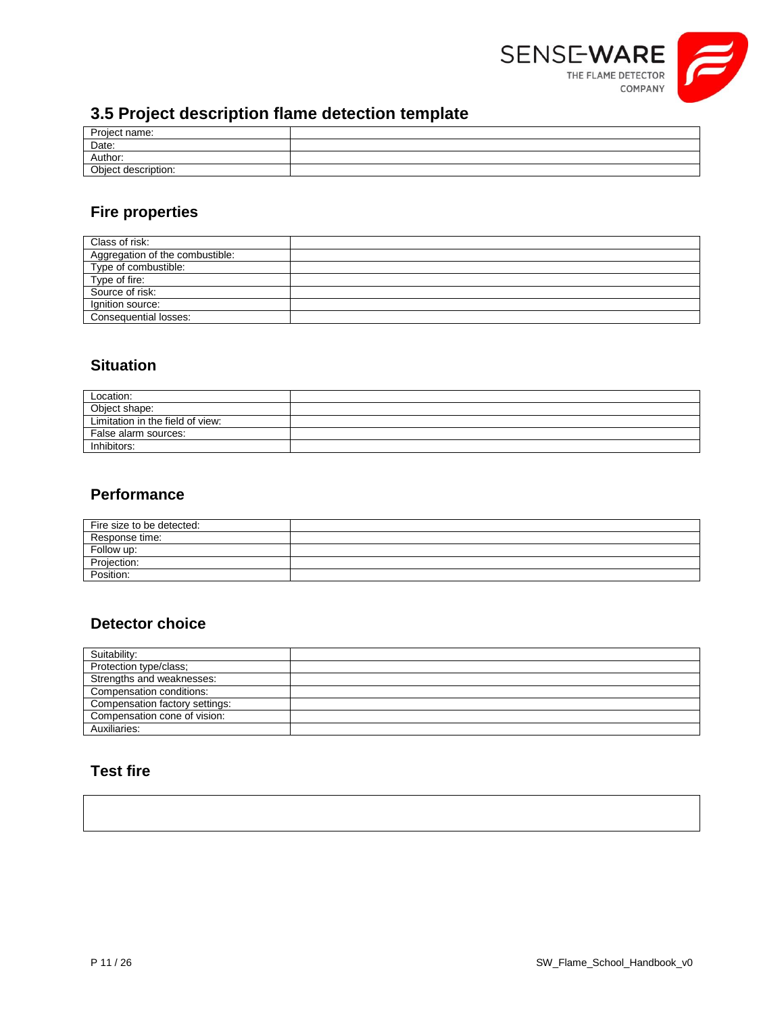

## <span id="page-10-0"></span>**3.5 Project description flame detection template**

| __                  | __ |
|---------------------|----|
| Project name:       |    |
| Date:               |    |
| Author:             |    |
| Object description: |    |
|                     |    |

## **Fire properties**

| Class of risk:                   |  |
|----------------------------------|--|
| Aggregation of the combustible:  |  |
| Type of combustible:             |  |
| Type of fire:<br>Source of risk: |  |
|                                  |  |
| Ignition source:                 |  |
| Consequential losses:            |  |

## **Situation**

| Location:                        |  |
|----------------------------------|--|
| Object shape:                    |  |
| Limitation in the field of view: |  |
| False alarm sources:             |  |
| Inhibitors:                      |  |

## **Performance**

| Fire size to be detected: |  |
|---------------------------|--|
| Response time:            |  |
| Follow up:                |  |
| Projection:               |  |
| Position:                 |  |

## **Detector choice**

| Suitability:                   |  |
|--------------------------------|--|
| Protection type/class;         |  |
| Strengths and weaknesses:      |  |
| Compensation conditions:       |  |
| Compensation factory settings: |  |
| Compensation cone of vision:   |  |
| Auxiliaries:                   |  |

## **Test fire**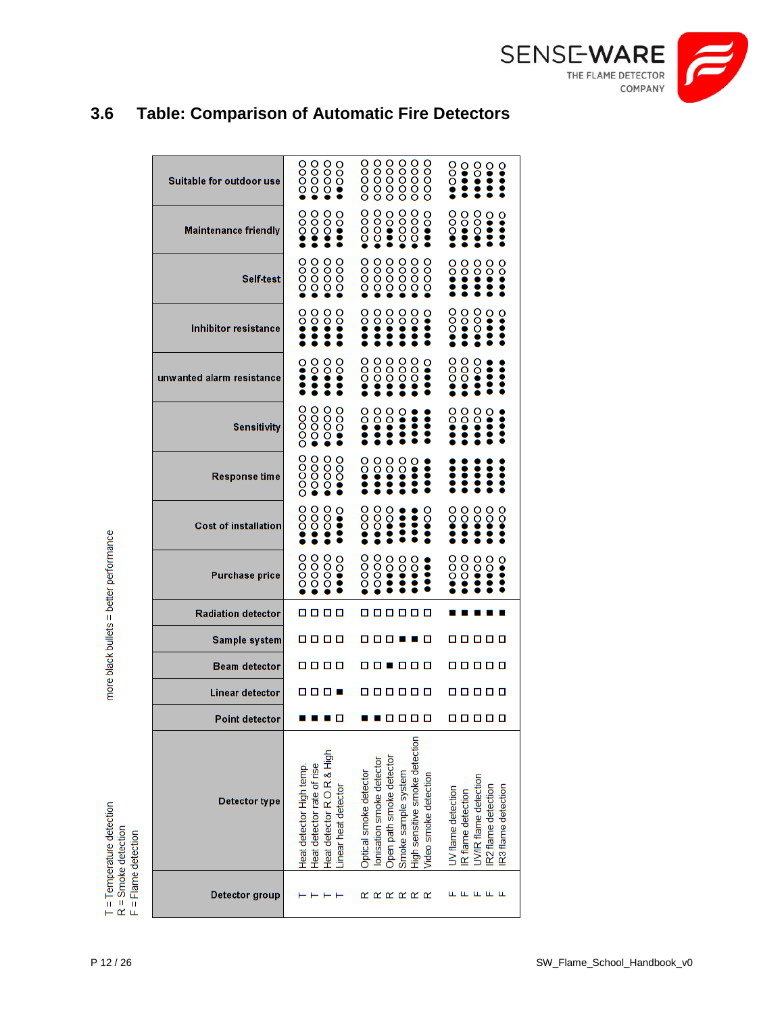

## <span id="page-11-0"></span>**3.6 Table: Comparison of Automatic Fire Detectors**

| Suitable for outdoor use    | $\frac{100000}{1000000}$<br>$\frac{1}{2}$<br>oooo                                                            | ooooo<br>00000<br>00000<br>ooooo<br>ooooo<br>ooooo                                                                                                                | $\frac{8}{9}$<br>$\frac{1}{2}$<br>ဝွ<br>ွိ<br>Ō                                                                 |
|-----------------------------|--------------------------------------------------------------------------------------------------------------|-------------------------------------------------------------------------------------------------------------------------------------------------------------------|-----------------------------------------------------------------------------------------------------------------|
| <b>Maintenance friendly</b> | $\frac{8}{3}$<br>$\frac{8}{2}$<br>80<br>$\frac{8}{3}$                                                        | 00<br>00<br>oooo<br>oooo<br>oooo<br>ဝိ<br>ဝို                                                                                                                     | ပ္မွ<br>$\frac{1}{2}$<br>$\frac{8}{3}$                                                                          |
| <b>Self-test</b>            | oooo<br>oooo<br><b>0000</b><br>ooc                                                                           | oooo<br>oooo<br>oooo<br>oooo<br>oooo<br>ŏoo                                                                                                                       | $\frac{8}{9}$<br>8<br>ဝိ<br>ွိ<br>ဝိ                                                                            |
| <b>Inhibitor resistance</b> | ိ<br>ဝို<br>$\frac{1}{2}$<br>ိ                                                                               | ၀ွ<br>$\frac{8}{3}$<br>8<br>8<br>ဝို                                                                                                                              | ိ<br>000<br>ွိ<br>$\frac{8}{3}$<br>း                                                                            |
| unwanted alarm resistance   | ွိ<br>ဝိ<br>ဝွ                                                                                               | ooo<br>$\frac{1}{2}$<br>ဝိ<br>ooo<br>ဝဝဝ                                                                                                                          | $\frac{8}{3}$<br>$\frac{8}{3}$<br>ိ                                                                             |
| Sensitivity                 | 00000<br>oooo.<br>oooo<br>$\frac{1}{2}$                                                                      | 8<br>$\frac{1}{2}$<br>ဝို                                                                                                                                         | $\frac{1}{2}$<br>ွိ<br>$\frac{1}{2}$                                                                            |
| Response time               | 00000<br>oooo<br>oooo<br>$\frac{8}{3}$                                                                       | ဝိ<br>8<br>8<br>ဝိ                                                                                                                                                | ះ                                                                                                               |
| <b>Cost of installation</b> | $\frac{8}{3}$<br>$\frac{8}{3}$<br>$\frac{1}{2}$<br>$\frac{1}{2}$                                             | $\frac{8}{2}$<br>$\frac{8}{3}$<br>ဝိ<br>ဝွ                                                                                                                        | $\frac{8}{3}$<br>8<br>ဝိ<br>8<br>ဝွ                                                                             |
| <b>Purchase price</b>       | 0000<br><b>0000</b><br>$\frac{1}{2}$                                                                         | <b>0000</b><br>oooo<br>ဝိ<br>ဝိ<br>ဝိ                                                                                                                             | $\frac{8}{3}$<br>႙<br>$\frac{1}{2}$<br>$\frac{1}{2}$<br>ၘ                                                       |
| <b>Radiation detector</b>   | 8888                                                                                                         | .                                                                                                                                                                 |                                                                                                                 |
| <b>Sample system</b>        | 8888                                                                                                         | -----                                                                                                                                                             | 0 0 0 0 0                                                                                                       |
| <b>Beam detector</b>        | 8888                                                                                                         | .                                                                                                                                                                 | 0 0 0 0 0                                                                                                       |
| Linear detector             | 888 S                                                                                                        | .                                                                                                                                                                 | 0 0 0 0 0                                                                                                       |
| Point detector              |                                                                                                              | .                                                                                                                                                                 | 0 0 0 0 0                                                                                                       |
| <b>Detector type</b>        | Heat detector R.O.R.& High<br>Heat detector rate of rise<br>Heat detector High temp.<br>Linear heat detector | High sensitive smoke detection<br>Open path smoke detector<br>lonisation smoke detector<br>Optical smoke detector<br>Smoke sample system<br>Video smoke detection | UV/IR flame detection<br>IR2 flame detection<br>IR3 flame detection<br>UV flame detection<br>IR flame detection |
| Detector group              |                                                                                                              | ααααα                                                                                                                                                             | ட<br>டட                                                                                                         |

more black bullets = better performance

T = Temperature detection<br>R = Smoke detection<br>F = Flame detection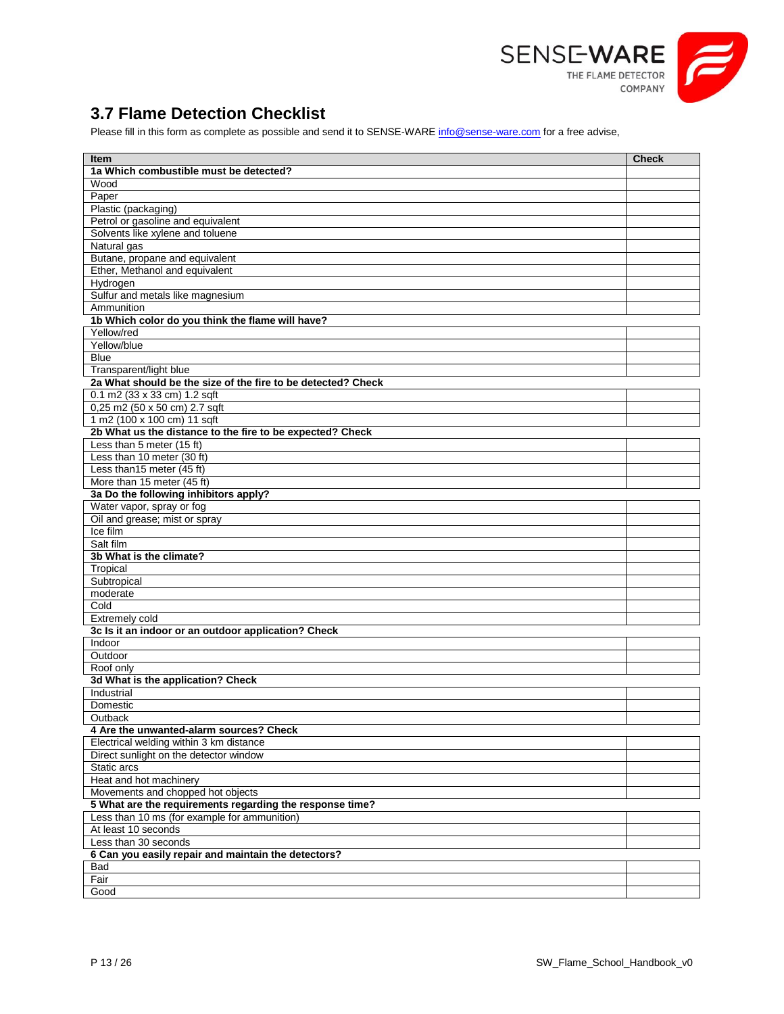

## <span id="page-12-0"></span>**3.7 Flame Detection Checklist**

Please fill in this form as complete as possible and send it to SENSE-WAR[E info@sense-ware.com](mailto:info@sense-ware.com) for a free advise,

| <b>Item</b>                                                  | <b>Check</b> |
|--------------------------------------------------------------|--------------|
| 1a Which combustible must be detected?                       |              |
| Wood                                                         |              |
| Paper                                                        |              |
| Plastic (packaging)                                          |              |
| Petrol or gasoline and equivalent                            |              |
| Solvents like xylene and toluene                             |              |
| Natural gas                                                  |              |
| Butane, propane and equivalent                               |              |
| Ether, Methanol and equivalent                               |              |
| Hydrogen                                                     |              |
| Sulfur and metals like magnesium                             |              |
| Ammunition                                                   |              |
| 1b Which color do you think the flame will have?             |              |
| Yellow/red                                                   |              |
| Yellow/blue                                                  |              |
| <b>Blue</b>                                                  |              |
| Transparent/light blue                                       |              |
| 2a What should be the size of the fire to be detected? Check |              |
| $0.1$ m2 (33 x 33 cm) 1.2 sqft                               |              |
| 0,25 m2 (50 x 50 cm) 2.7 sqft                                |              |
| 1 m2 (100 x 100 cm) 11 sqft                                  |              |
| 2b What us the distance to the fire to be expected? Check    |              |
| Less than 5 meter (15 ft)                                    |              |
| Less than 10 meter (30 ft)                                   |              |
| Less than15 meter (45 ft)                                    |              |
| More than 15 meter (45 ft)                                   |              |
| 3a Do the following inhibitors apply?                        |              |
| Water vapor, spray or fog                                    |              |
| Oil and grease; mist or spray                                |              |
| Ice film                                                     |              |
| Salt film                                                    |              |
| 3b What is the climate?                                      |              |
| Tropical                                                     |              |
| Subtropical                                                  |              |
| moderate                                                     |              |
| Cold                                                         |              |
| Extremely cold                                               |              |
| 3c Is it an indoor or an outdoor application? Check          |              |
| Indoor                                                       |              |
| Outdoor                                                      |              |
| Roof only                                                    |              |
| 3d What is the application? Check                            |              |
| Industrial                                                   |              |
| Domestic                                                     |              |
| Outback                                                      |              |
| 4 Are the unwanted-alarm sources? Check                      |              |
| Electrical welding within 3 km distance                      |              |
| Direct sunlight on the detector window                       |              |
| Static arcs                                                  |              |
| Heat and hot machinery                                       |              |
| Movements and chopped hot objects                            |              |
| 5 What are the requirements regarding the response time?     |              |
| Less than 10 ms (for example for ammunition)                 |              |
| At least 10 seconds                                          |              |
| Less than 30 seconds                                         |              |
| 6 Can you easily repair and maintain the detectors?          |              |
| Bad                                                          |              |
| Fair                                                         |              |
| Good                                                         |              |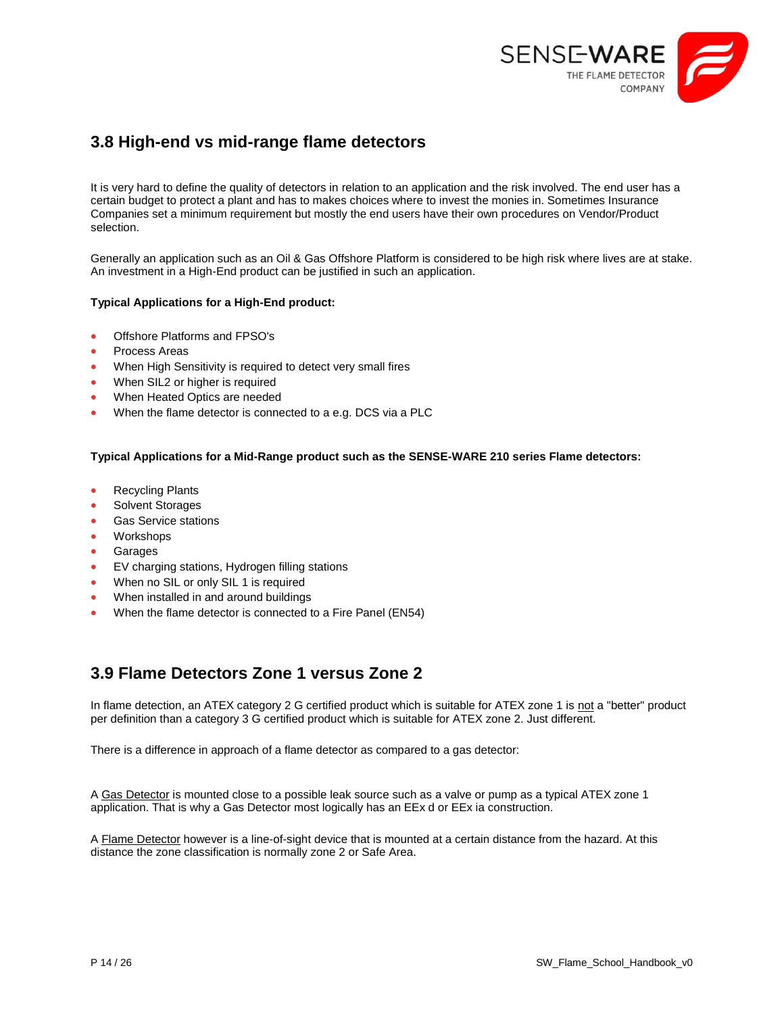

## <span id="page-13-0"></span>**3.8 High-end vs mid-range flame detectors**

It is very hard to define the quality of detectors in relation to an application and the risk involved. The end user has a certain budget to protect a plant and has to makes choices where to invest the monies in. Sometimes Insurance Companies set a minimum requirement but mostly the end users have their own procedures on Vendor/Product selection.

Generally an application such as an Oil & Gas Offshore Platform is considered to be high risk where lives are at stake. An investment in a High-End product can be justified in such an application.

#### **Typical Applications for a High-End product:**

- Offshore Platforms and FPSO's
- Process Areas
- When High Sensitivity is required to detect very small fires
- When SIL2 or higher is required
- When Heated Optics are needed
- When the flame detector is connected to a e.g. DCS via a PLC

#### **Typical Applications for a Mid-Range product such as the SENSE-WARE 210 series Flame detectors:**

- Recycling Plants
- Solvent Storages
- Gas Service stations
- Workshops
- Garages
- EV charging stations, Hydrogen filling stations
- When no SIL or only SIL 1 is required
- When installed in and around buildings
- When the flame detector is connected to a Fire Panel (EN54)

## <span id="page-13-1"></span>**3.9 Flame Detectors Zone 1 versus Zone 2**

In flame detection, an ATEX category 2 G certified product which is suitable for ATEX zone 1 is not a "better" product per definition than a category 3 G certified product which is suitable for ATEX zone 2. Just different.

There is a difference in approach of a flame detector as compared to a gas detector:

A Gas Detector is mounted close to a possible leak source such as a valve or pump as a typical ATEX zone 1 application. That is why a Gas Detector most logically has an EEx d or EEx ia construction.

A Flame Detector however is a line-of-sight device that is mounted at a certain distance from the hazard. At this distance the zone classification is normally zone 2 or Safe Area.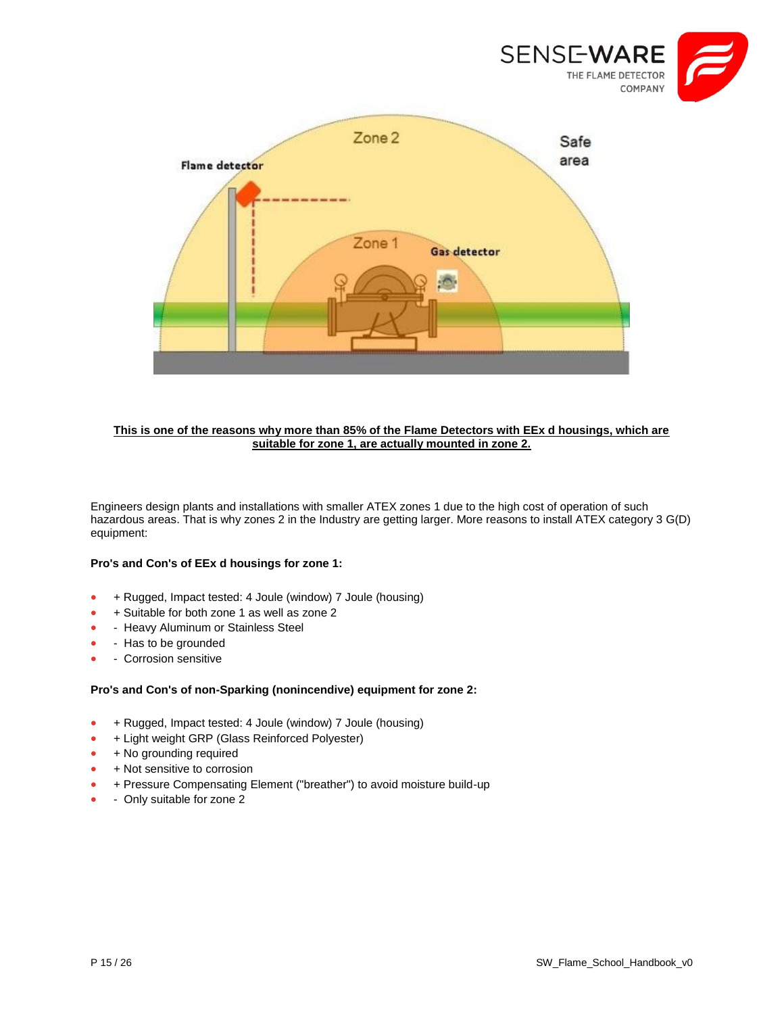



#### **This is one of the reasons why more than 85% of the Flame Detectors with EEx d housings, which are suitable for zone 1, are actually mounted in zone 2.**

Engineers design plants and installations with smaller ATEX zones 1 due to the high cost of operation of such hazardous areas. That is why zones 2 in the Industry are getting larger. More reasons to install ATEX category 3 G(D) equipment:

#### **Pro's and Con's of EEx d housings for zone 1:**

- + Rugged, Impact tested: 4 Joule (window) 7 Joule (housing)
- + Suitable for both zone 1 as well as zone 2
- Heavy Aluminum or Stainless Steel
- Has to be grounded
- Corrosion sensitive

#### **Pro's and Con's of non-Sparking (nonincendive) equipment for zone 2:**

- + Rugged, Impact tested: 4 Joule (window) 7 Joule (housing)
- + Light weight GRP (Glass Reinforced Polyester)
- + No grounding required
- $+$  Not sensitive to corrosion
- + Pressure Compensating Element ("breather") to avoid moisture build-up
- **Only suitable for zone 2**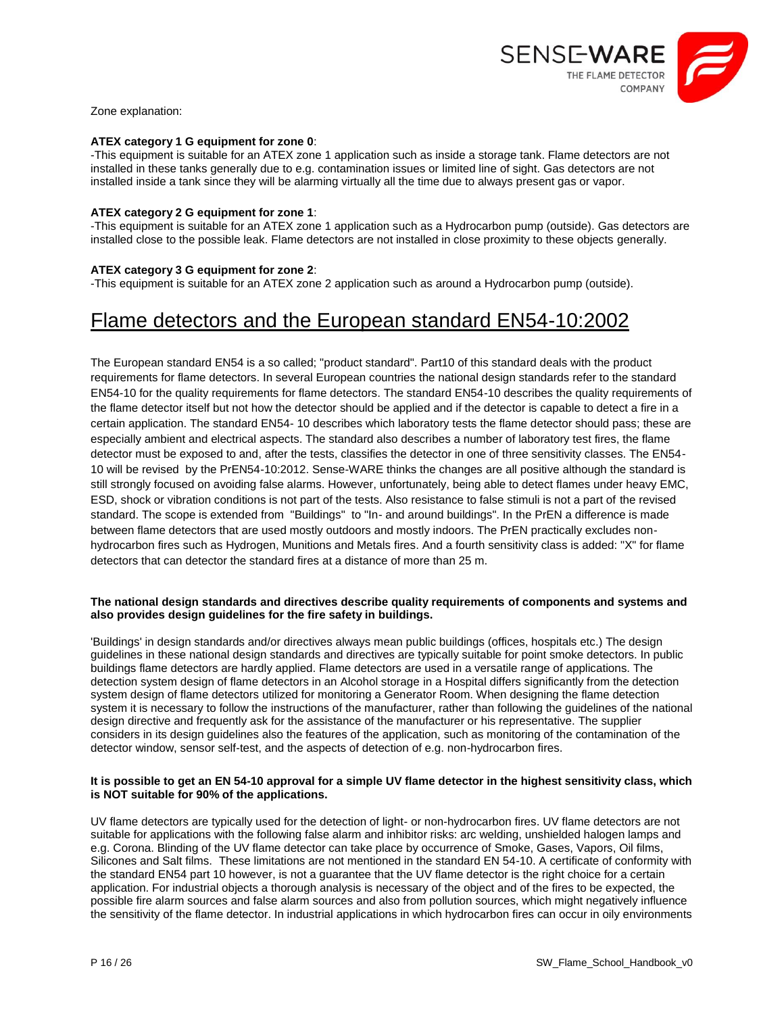

Zone explanation:

#### **ATEX category 1 G equipment for zone 0**:

-This equipment is suitable for an ATEX zone 1 application such as inside a storage tank. Flame detectors are not installed in these tanks generally due to e.g. contamination issues or limited line of sight. Gas detectors are not installed inside a tank since they will be alarming virtually all the time due to always present gas or vapor.

#### **ATEX category 2 G equipment for zone 1**:

-This equipment is suitable for an ATEX zone 1 application such as a Hydrocarbon pump (outside). Gas detectors are installed close to the possible leak. Flame detectors are not installed in close proximity to these objects generally.

#### **ATEX category 3 G equipment for zone 2**:

-This equipment is suitable for an ATEX zone 2 application such as around a Hydrocarbon pump (outside).

## Flame detectors and the European standard EN54-10:2002

The European standard EN54 is a so called; "product standard". Part10 of this standard deals with the product requirements for flame detectors. In several European countries the national design standards refer to the standard EN54-10 for the quality requirements for flame detectors. The standard EN54-10 describes the quality requirements of the flame detector itself but not how the detector should be applied and if the detector is capable to detect a fire in a certain application. The standard EN54- 10 describes which laboratory tests the flame detector should pass; these are especially ambient and electrical aspects. The standard also describes a number of laboratory test fires, the flame detector must be exposed to and, after the tests, classifies the detector in one of three sensitivity classes. The EN54- 10 will be revised by the PrEN54-10:2012. Sense-WARE thinks the changes are all positive although the standard is still strongly focused on avoiding false alarms. However, unfortunately, being able to detect flames under heavy EMC, ESD, shock or vibration conditions is not part of the tests. Also resistance to false stimuli is not a part of the revised standard. The scope is extended from "Buildings" to "In- and around buildings". In the PrEN a difference is made between flame detectors that are used mostly outdoors and mostly indoors. The PrEN practically excludes nonhydrocarbon fires such as Hydrogen, Munitions and Metals fires. And a fourth sensitivity class is added: "X" for flame detectors that can detector the standard fires at a distance of more than 25 m.

#### **The national design standards and directives describe quality requirements of components and systems and also provides design guidelines for the fire safety in buildings.**

'Buildings' in design standards and/or directives always mean public buildings (offices, hospitals etc.) The design guidelines in these national design standards and directives are typically suitable for point smoke detectors. In public buildings flame detectors are hardly applied. Flame detectors are used in a versatile range of applications. The detection system design of flame detectors in an Alcohol storage in a Hospital differs significantly from the detection system design of flame detectors utilized for monitoring a Generator Room. When designing the flame detection system it is necessary to follow the instructions of the manufacturer, rather than following the guidelines of the national design directive and frequently ask for the assistance of the manufacturer or his representative. The supplier considers in its design guidelines also the features of the application, such as monitoring of the contamination of the detector window, sensor self-test, and the aspects of detection of e.g. non-hydrocarbon fires.

#### **It is possible to get an EN 54-10 approval for a simple UV flame detector in the highest sensitivity class, which is NOT suitable for 90% of the applications.**

UV flame detectors are typically used for the detection of light- or non-hydrocarbon fires. UV flame detectors are not suitable for applications with the following false alarm and inhibitor risks: arc welding, unshielded halogen lamps and e.g. Corona. Blinding of the UV flame detector can take place by occurrence of Smoke, Gases, Vapors, Oil films, Silicones and Salt films. These limitations are not mentioned in the standard EN 54-10. A certificate of conformity with the standard EN54 part 10 however, is not a guarantee that the UV flame detector is the right choice for a certain application. For industrial objects a thorough analysis is necessary of the object and of the fires to be expected, the possible fire alarm sources and false alarm sources and also from pollution sources, which might negatively influence the sensitivity of the flame detector. In industrial applications in which hydrocarbon fires can occur in oily environments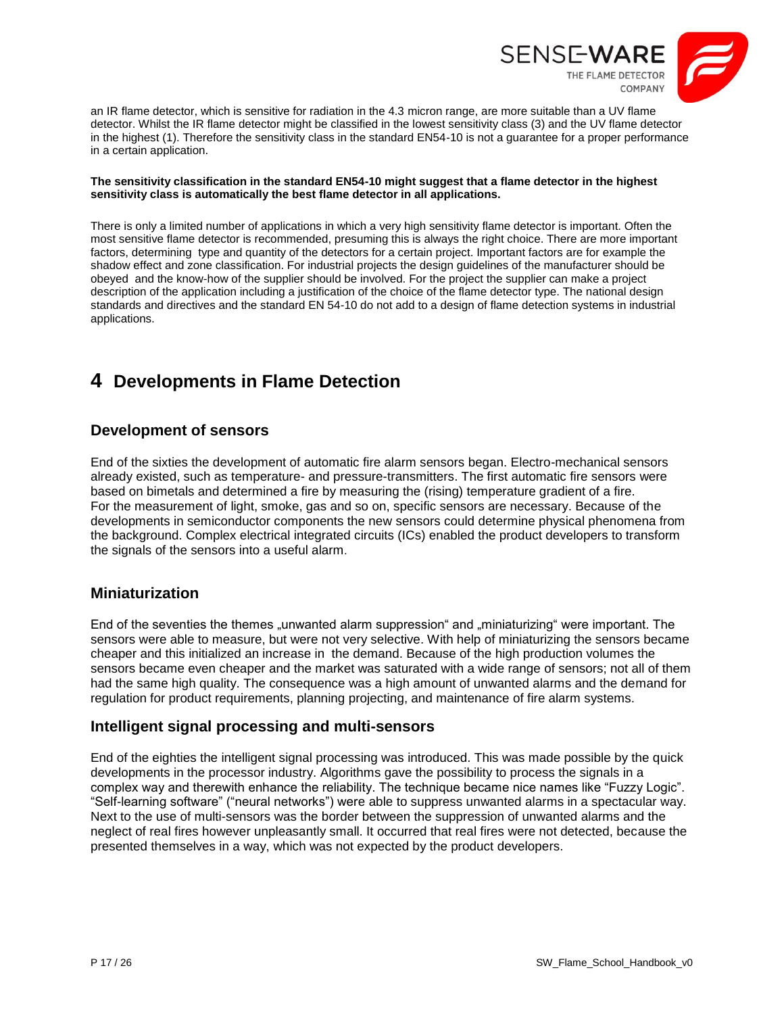

an IR flame detector, which is sensitive for radiation in the 4.3 micron range, are more suitable than a UV flame detector. Whilst the IR flame detector might be classified in the lowest sensitivity class (3) and the UV flame detector in the highest (1). Therefore the sensitivity class in the standard EN54-10 is not a guarantee for a proper performance in a certain application.

#### **The sensitivity classification in the standard EN54-10 might suggest that a flame detector in the highest sensitivity class is automatically the best flame detector in all applications.**

There is only a limited number of applications in which a very high sensitivity flame detector is important. Often the most sensitive flame detector is recommended, presuming this is always the right choice. There are more important factors, determining type and quantity of the detectors for a certain project. Important factors are for example the shadow effect and zone classification. For industrial projects the design guidelines of the manufacturer should be obeyed and the know-how of the supplier should be involved. For the project the supplier can make a project description of the application including a justification of the choice of the flame detector type. The national design standards and directives and the standard EN 54-10 do not add to a design of flame detection systems in industrial applications.

## <span id="page-16-0"></span>**4 Developments in Flame Detection**

## **Development of sensors**

End of the sixties the development of automatic fire alarm sensors began. Electro-mechanical sensors already existed, such as temperature- and pressure-transmitters. The first automatic fire sensors were based on bimetals and determined a fire by measuring the (rising) temperature gradient of a fire. For the measurement of light, smoke, gas and so on, specific sensors are necessary. Because of the developments in semiconductor components the new sensors could determine physical phenomena from the background. Complex electrical integrated circuits (ICs) enabled the product developers to transform the signals of the sensors into a useful alarm.

## **Miniaturization**

End of the seventies the themes "unwanted alarm suppression" and "miniaturizing" were important. The sensors were able to measure, but were not very selective. With help of miniaturizing the sensors became cheaper and this initialized an increase in the demand. Because of the high production volumes the sensors became even cheaper and the market was saturated with a wide range of sensors; not all of them had the same high quality. The consequence was a high amount of unwanted alarms and the demand for regulation for product requirements, planning projecting, and maintenance of fire alarm systems.

## **Intelligent signal processing and multi-sensors**

End of the eighties the intelligent signal processing was introduced. This was made possible by the quick developments in the processor industry. Algorithms gave the possibility to process the signals in a complex way and therewith enhance the reliability. The technique became nice names like "Fuzzy Logic". "Self-learning software" ("neural networks") were able to suppress unwanted alarms in a spectacular way. Next to the use of multi-sensors was the border between the suppression of unwanted alarms and the neglect of real fires however unpleasantly small. It occurred that real fires were not detected, because the presented themselves in a way, which was not expected by the product developers.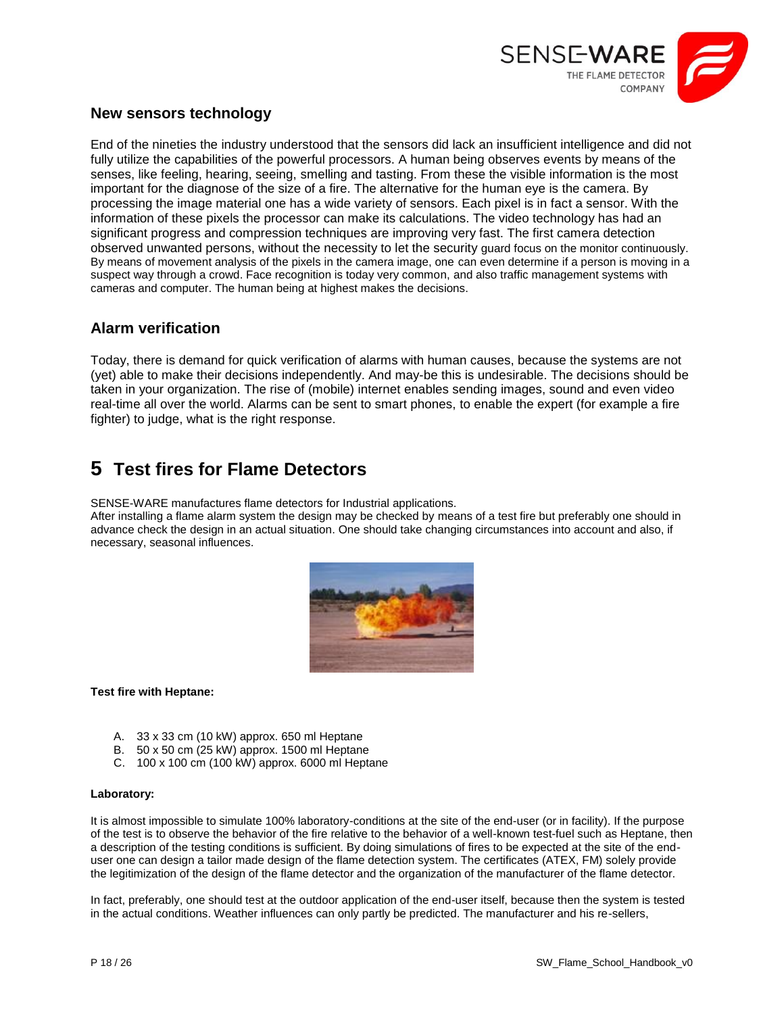

#### **New sensors technology**

End of the nineties the industry understood that the sensors did lack an insufficient intelligence and did not fully utilize the capabilities of the powerful processors. A human being observes events by means of the senses, like feeling, hearing, seeing, smelling and tasting. From these the visible information is the most important for the diagnose of the size of a fire. The alternative for the human eye is the camera. By processing the image material one has a wide variety of sensors. Each pixel is in fact a sensor. With the information of these pixels the processor can make its calculations. The video technology has had an significant progress and compression techniques are improving very fast. The first camera detection observed unwanted persons, without the necessity to let the security guard focus on the monitor continuously. By means of movement analysis of the pixels in the camera image, one can even determine if a person is moving in a suspect way through a crowd. Face recognition is today very common, and also traffic management systems with cameras and computer. The human being at highest makes the decisions.

#### **Alarm verification**

Today, there is demand for quick verification of alarms with human causes, because the systems are not (yet) able to make their decisions independently. And may-be this is undesirable. The decisions should be taken in your organization. The rise of (mobile) internet enables sending images, sound and even video real-time all over the world. Alarms can be sent to smart phones, to enable the expert (for example a fire fighter) to judge, what is the right response.

## <span id="page-17-0"></span>**5 Test fires for Flame Detectors**

SENSE-WARE manufactures flame detectors for Industrial applications.

After installing a flame alarm system the design may be checked by means of a test fire but preferably one should in advance check the design in an actual situation. One should take changing circumstances into account and also, if necessary, seasonal influences.



#### **Test fire with Heptane:**

- A. 33 x 33 cm (10 kW) approx. 650 ml Heptane
- B. 50 x 50 cm (25 kW) approx. 1500 ml Heptane
- C. 100 x 100 cm (100 kW) approx. 6000 ml Heptane

#### **Laboratory:**

It is almost impossible to simulate 100% laboratory-conditions at the site of the end-user (or in facility). If the purpose of the test is to observe the behavior of the fire relative to the behavior of a well-known test-fuel such as Heptane, then a description of the testing conditions is sufficient. By doing simulations of fires to be expected at the site of the enduser one can design a tailor made design of the flame detection system. The certificates (ATEX, FM) solely provide the legitimization of the design of the flame detector and the organization of the manufacturer of the flame detector.

In fact, preferably, one should test at the outdoor application of the end-user itself, because then the system is tested in the actual conditions. Weather influences can only partly be predicted. The manufacturer and his re-sellers,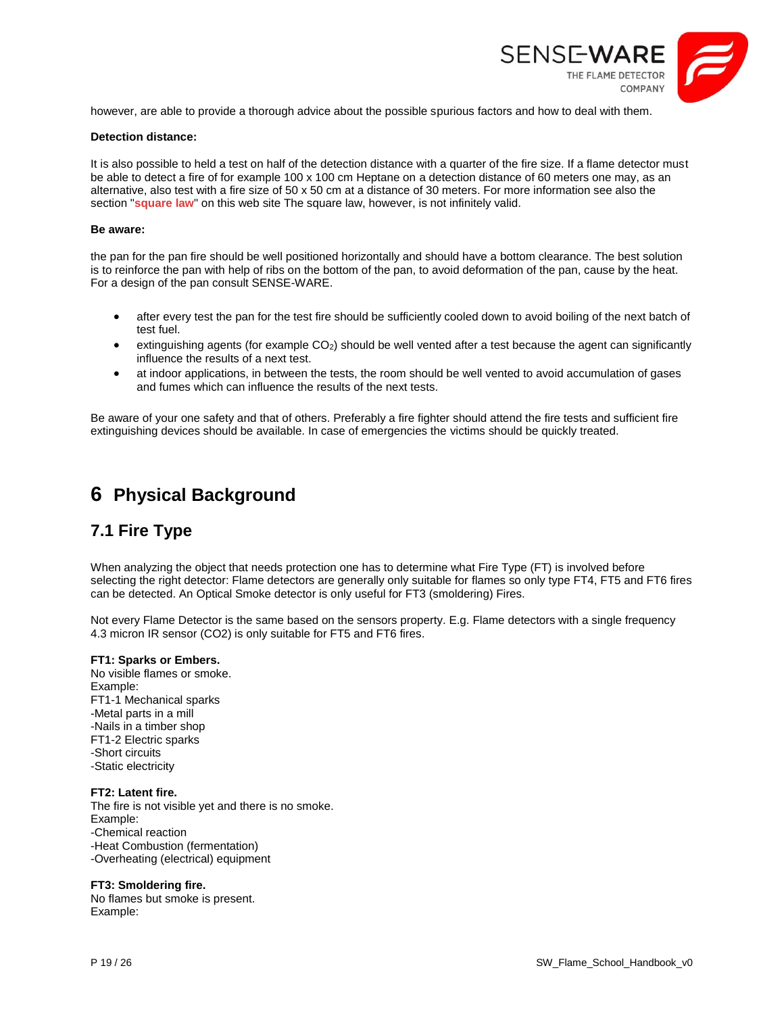

however, are able to provide a thorough advice about the possible spurious factors and how to deal with them.

#### **Detection distance:**

It is also possible to held a test on half of the detection distance with a quarter of the fire size. If a flame detector must be able to detect a fire of for example 100 x 100 cm Heptane on a detection distance of 60 meters one may, as an alternative, also test with a fire size of 50 x 50 cm at a distance of 30 meters. For more information see also the section "**[square law](https://www.sense-ware.com/?Flame_detection:Web_Tutorial:Square_law)**" on this web site The square law, however, is not infinitely valid.

#### **Be aware:**

the pan for the pan fire should be well positioned horizontally and should have a bottom clearance. The best solution is to reinforce the pan with help of ribs on the bottom of the pan, to avoid deformation of the pan, cause by the heat. For a design of the pan consult SENSE-WARE.

- after every test the pan for the test fire should be sufficiently cooled down to avoid boiling of the next batch of test fuel.
- extinguishing agents (for example  $CO<sub>2</sub>$ ) should be well vented after a test because the agent can significantly influence the results of a next test.
- at indoor applications, in between the tests, the room should be well vented to avoid accumulation of gases and fumes which can influence the results of the next tests.

Be aware of your one safety and that of others. Preferably a fire fighter should attend the fire tests and sufficient fire extinguishing devices should be available. In case of emergencies the victims should be quickly treated.

## <span id="page-18-0"></span>**6 Physical Background**

## <span id="page-18-1"></span>**7.1 Fire Type**

When analyzing the object that needs protection one has to determine what Fire Type (FT) is involved before selecting the right detector: Flame detectors are generally only suitable for flames so only type FT4, FT5 and FT6 fires can be detected. An Optical Smoke detector is only useful for FT3 (smoldering) Fires.

Not every Flame Detector is the same based on the sensors property. E.g. Flame detectors with a single frequency 4.3 micron IR sensor (CO2) is only suitable for FT5 and FT6 fires.

#### **FT1: Sparks or Embers.**

No visible flames or smoke. Example: FT1-1 Mechanical sparks -Metal parts in a mill -Nails in a timber shop FT1-2 Electric sparks -Short circuits -Static electricity

#### **FT2: Latent fire.**

The fire is not visible yet and there is no smoke. Example: -Chemical reaction -Heat Combustion (fermentation) -Overheating (electrical) equipment

#### **FT3: Smoldering fire.**

No flames but smoke is present. Example: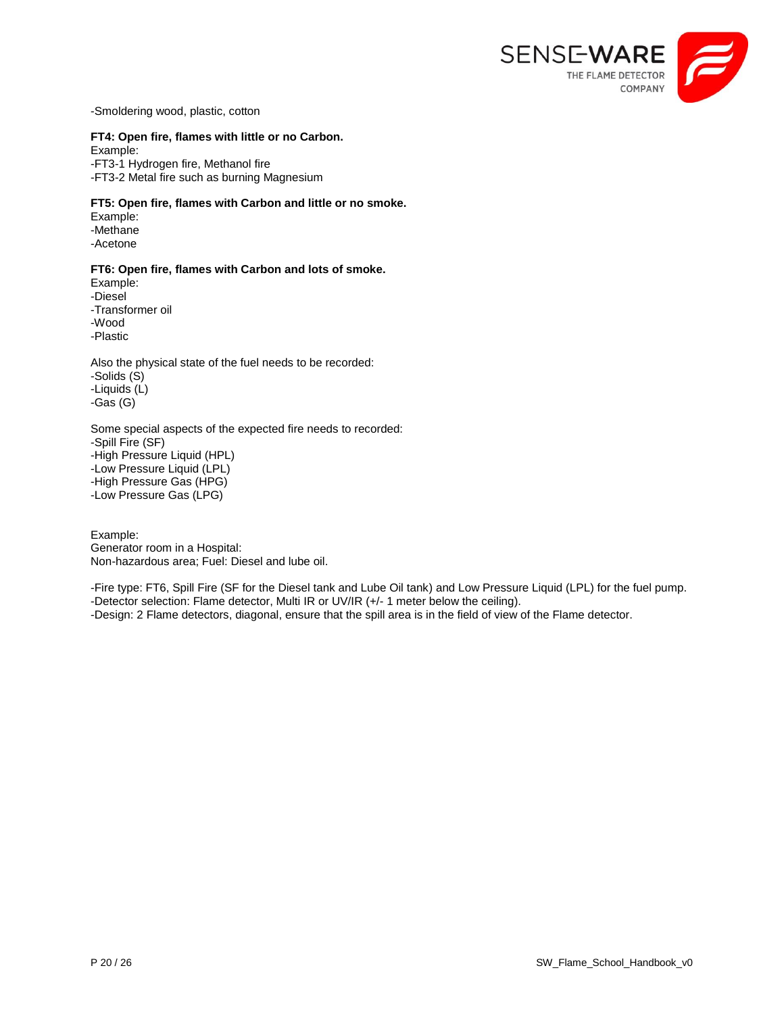

-Smoldering wood, plastic, cotton

#### **FT4: Open fire, flames with little or no Carbon.**

Example: -FT3-1 Hydrogen fire, Methanol fire -FT3-2 Metal fire such as burning Magnesium

#### **FT5: Open fire, flames with Carbon and little or no smoke.**

Example: -Methane -Acetone

#### **FT6: Open fire, flames with Carbon and lots of smoke.**

Example: -Diesel -Transformer oil -Wood -Plastic

Also the physical state of the fuel needs to be recorded: -Solids (S) -Liquids (L) -Gas (G)

Some special aspects of the expected fire needs to recorded: -Spill Fire (SF) -High Pressure Liquid (HPL) -Low Pressure Liquid (LPL) -High Pressure Gas (HPG) -Low Pressure Gas (LPG)

Example: Generator room in a Hospital: Non-hazardous area; Fuel: Diesel and lube oil.

-Fire type: FT6, Spill Fire (SF for the Diesel tank and Lube Oil tank) and Low Pressure Liquid (LPL) for the fuel pump. -Detector selection: Flame detector, Multi IR or UV/IR (+/- 1 meter below the ceiling). -Design: 2 Flame detectors, diagonal, ensure that the spill area is in the field of view of the Flame detector.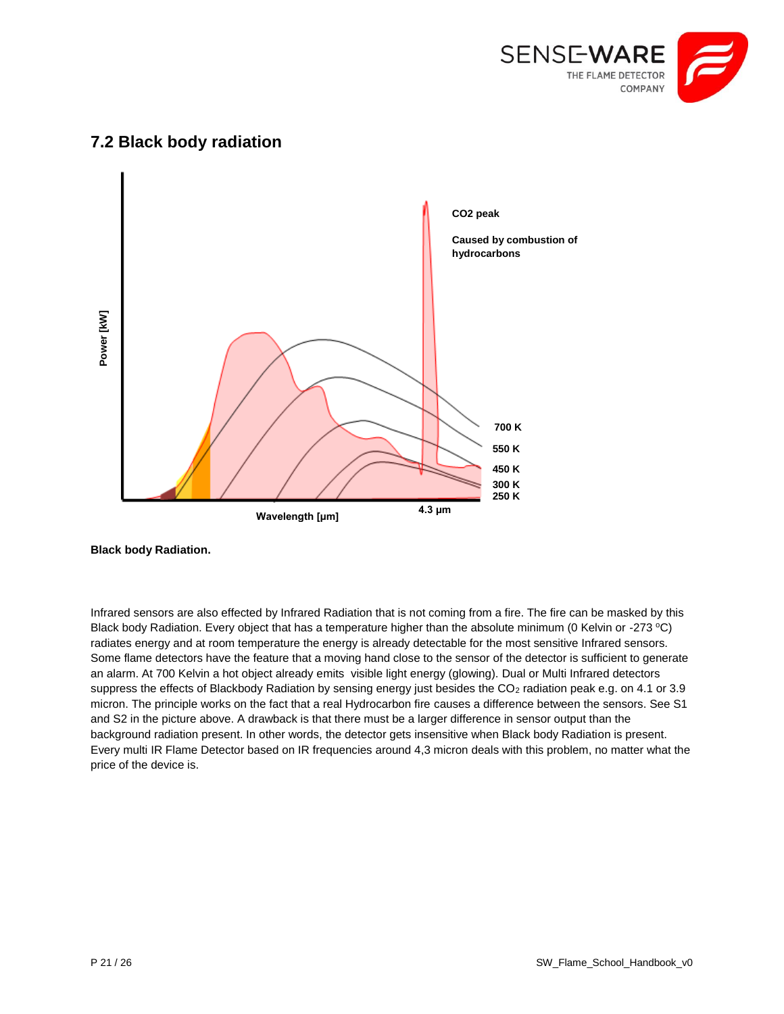

# price of the device is. **Power [kW] 700 K 550 K 450 K 300 K 250 K Wavelength [μm] CO2 peak Caused by combustion of hydrocarbons 4.3 μm**

## <span id="page-20-0"></span>**7.2 Black body radiation**

Infrared sensors are also effected by Infrared Radiation that is not coming from a fire. The fire can be masked by this Black body Radiation. Every object that has a temperature higher than the absolute minimum (0 Kelvin or -273  $^{\circ}$ C) radiates energy and at room temperature the energy is already detectable for the most sensitive Infrared sensors. Some flame detectors have the feature that a moving hand close to the sensor of the detector is sufficient to generate an alarm. At 700 Kelvin a hot object already emits visible light energy (glowing). Dual or Multi Infrared detectors suppress the effects of Blackbody Radiation by sensing energy just besides the CO<sub>2</sub> radiation peak e.g. on 4.1 or 3.9 micron. The principle works on the fact that a real Hydrocarbon fire causes a difference between the sensors. See S1 and S2 in the picture above. A drawback is that there must be a larger difference in sensor output than the background radiation present. In other words, the detector gets insensitive when Black body Radiation is present. Every multi IR Flame Detector based on IR frequencies around 4,3 micron deals with this problem, no matter what the

**Black body Radiation.**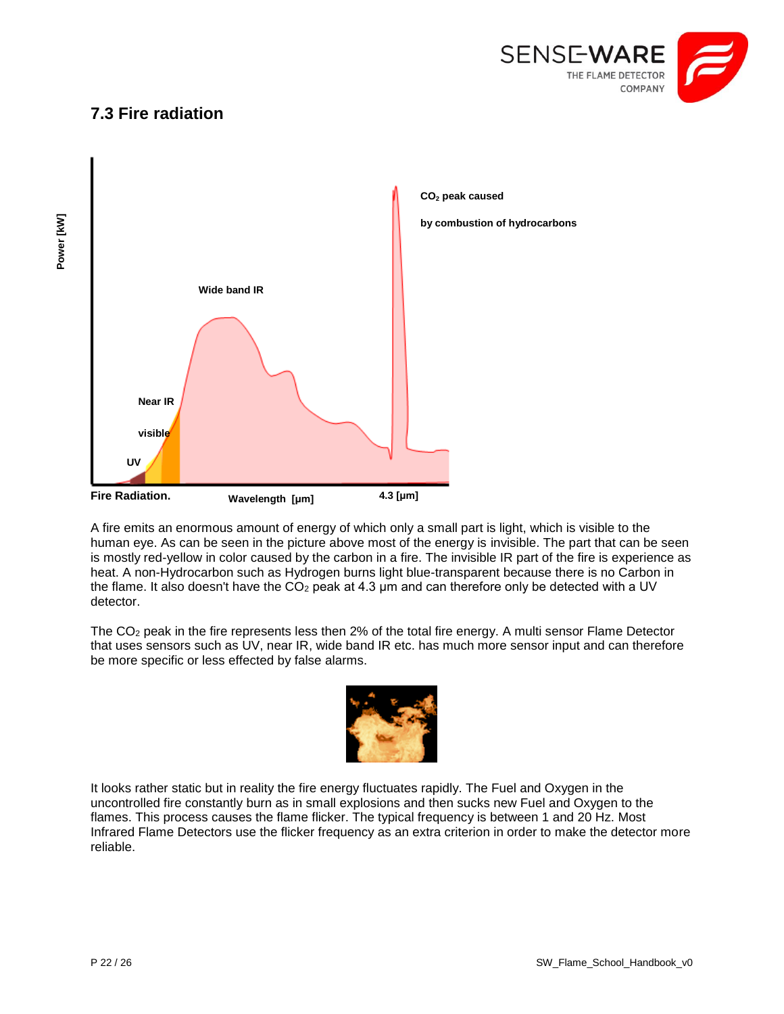

## <span id="page-21-0"></span>**7.3 Fire radiation**



A fire emits an enormous amount of energy of which only a small part is light, which is visible to the human eye. As can be seen in the picture above most of the energy is invisible. The part that can be seen is mostly red-yellow in color caused by the carbon in a fire. The invisible IR part of the fire is experience as heat. A non-Hydrocarbon such as Hydrogen burns light blue-transparent because there is no Carbon in the flame. It also doesn't have the  $CO<sub>2</sub>$  peak at 4.3 µm and can therefore only be detected with a UV detector.

The CO<sup>2</sup> peak in the fire represents less then 2% of the total fire energy. A multi sensor Flame Detector that uses sensors such as UV, near IR, wide band IR etc. has much more sensor input and can therefore be more specific or less effected by false alarms.



It looks rather static but in reality the fire energy fluctuates rapidly. The Fuel and Oxygen in the uncontrolled fire constantly burn as in small explosions and then sucks new Fuel and Oxygen to the flames. This process causes the flame flicker. The typical frequency is between 1 and 20 Hz. Most Infrared Flame Detectors use the flicker frequency as an extra criterion in order to make the detector more reliable.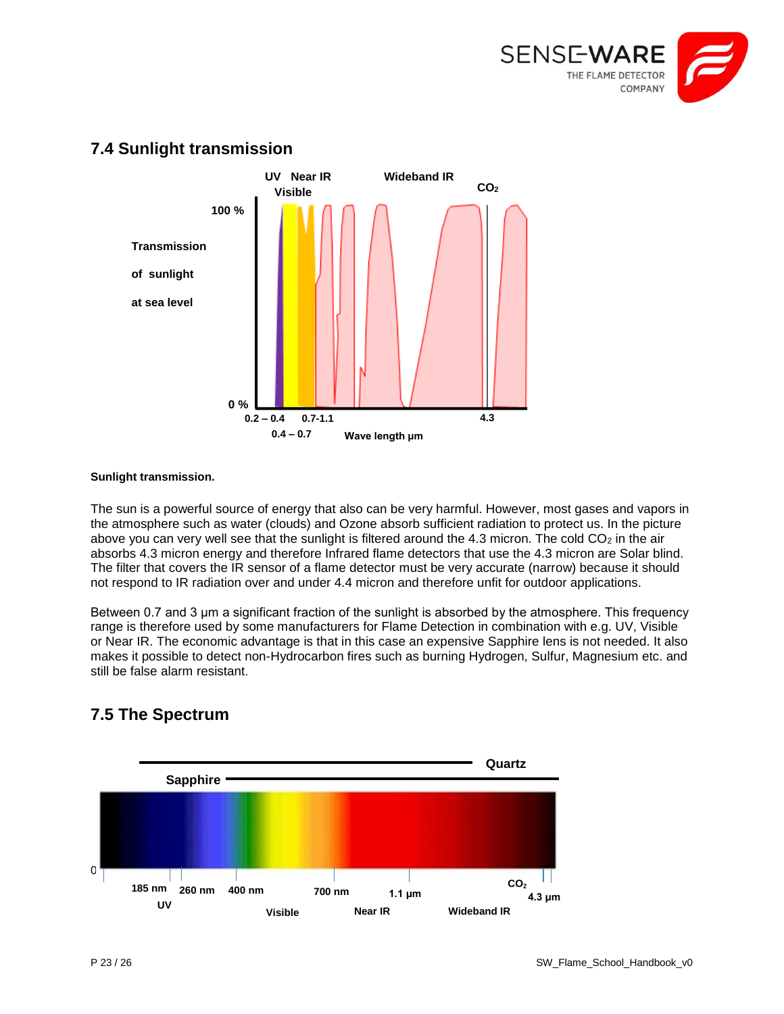



## <span id="page-22-0"></span>**7.4 Sunlight transmission**

#### **Sunlight transmission.**

The sun is a powerful source of energy that also can be very harmful. However, most gases and vapors in the atmosphere such as water (clouds) and Ozone absorb sufficient radiation to protect us. In the picture above you can very well see that the sunlight is filtered around the 4.3 micron. The cold  $CO<sub>2</sub>$  in the air absorbs 4.3 micron energy and therefore Infrared flame detectors that use the 4.3 micron are Solar blind. The filter that covers the IR sensor of a flame detector must be very accurate (narrow) because it should not respond to IR radiation over and under 4.4 micron and therefore unfit for outdoor applications.

Between 0.7 and 3 μm a significant fraction of the sunlight is absorbed by the atmosphere. This frequency range is therefore used by some manufacturers for Flame Detection in combination with e.g. UV, Visible or Near IR. The economic advantage is that in this case an expensive Sapphire lens is not needed. It also makes it possible to detect non-Hydrocarbon fires such as burning Hydrogen, Sulfur, Magnesium etc. and still be false alarm resistant.



## <span id="page-22-1"></span>**7.5 The Spectrum**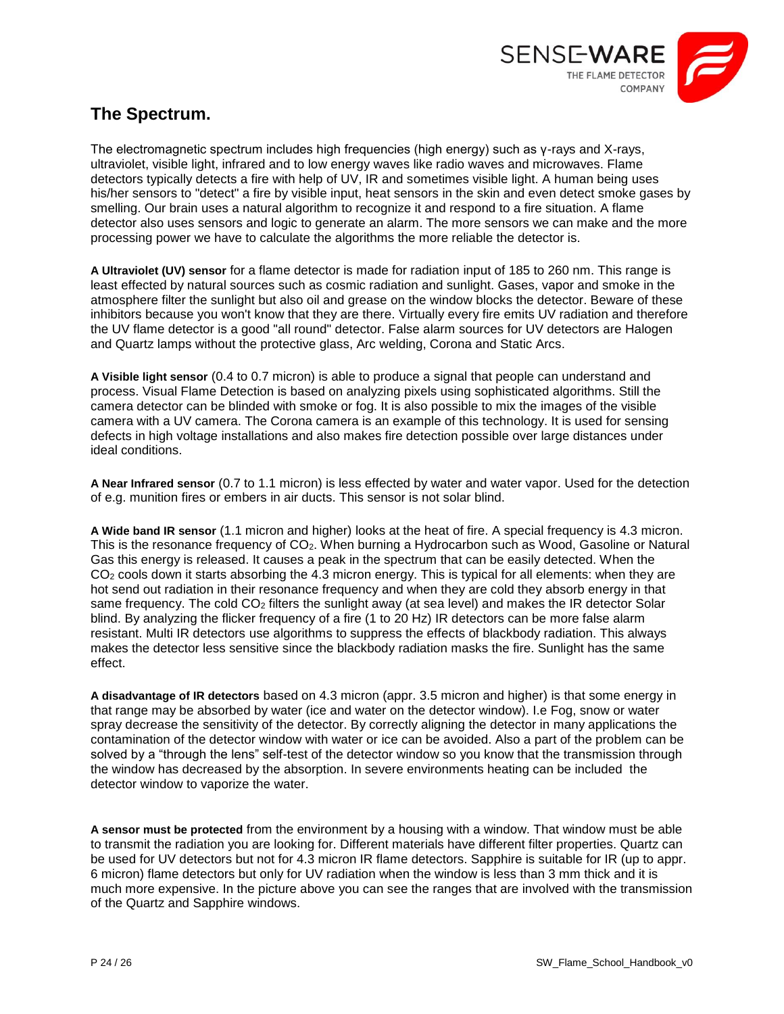

## **The Spectrum.**

The electromagnetic spectrum includes high frequencies (high energy) such as γ-rays and X-rays, ultraviolet, visible light, infrared and to low energy waves like radio waves and microwaves. Flame detectors typically detects a fire with help of UV, IR and sometimes visible light. A human being uses his/her sensors to "detect" a fire by visible input, heat sensors in the skin and even detect smoke gases by smelling. Our brain uses a natural algorithm to recognize it and respond to a fire situation. A flame detector also uses sensors and logic to generate an alarm. The more sensors we can make and the more processing power we have to calculate the algorithms the more reliable the detector is.

**A Ultraviolet (UV) sensor** for a flame detector is made for radiation input of 185 to 260 nm. This range is least effected by natural sources such as cosmic radiation and sunlight. Gases, vapor and smoke in the atmosphere filter the sunlight but also oil and grease on the window blocks the detector. Beware of these inhibitors because you won't know that they are there. Virtually every fire emits UV radiation and therefore the UV flame detector is a good "all round" detector. False alarm sources for UV detectors are Halogen and Quartz lamps without the protective glass, Arc welding, Corona and Static Arcs.

**A Visible light sensor** (0.4 to 0.7 micron) is able to produce a signal that people can understand and process. Visual Flame Detection is based on analyzing pixels using sophisticated algorithms. Still the camera detector can be blinded with smoke or fog. It is also possible to mix the images of the visible camera with a UV camera. The Corona camera is an example of this technology. It is used for sensing defects in high voltage installations and also makes fire detection possible over large distances under ideal conditions.

**A Near Infrared sensor** (0.7 to 1.1 micron) is less effected by water and water vapor. Used for the detection of e.g. munition fires or embers in air ducts. This sensor is not solar blind.

**A Wide band IR sensor** (1.1 micron and higher) looks at the heat of fire. A special frequency is 4.3 micron. This is the resonance frequency of CO<sub>2</sub>. When burning a Hydrocarbon such as Wood, Gasoline or Natural Gas this energy is released. It causes a peak in the spectrum that can be easily detected. When the CO<sub>2</sub> cools down it starts absorbing the 4.3 micron energy. This is typical for all elements: when they are hot send out radiation in their resonance frequency and when they are cold they absorb energy in that same frequency. The cold CO<sub>2</sub> filters the sunlight away (at sea level) and makes the IR detector Solar blind. By analyzing the flicker frequency of a fire (1 to 20 Hz) IR detectors can be more false alarm resistant. Multi IR detectors use algorithms to suppress the effects of blackbody radiation. This always makes the detector less sensitive since the blackbody radiation masks the fire. Sunlight has the same effect.

**A disadvantage of IR detectors** based on 4.3 micron (appr. 3.5 micron and higher) is that some energy in that range may be absorbed by water (ice and water on the detector window). I.e Fog, snow or water spray decrease the sensitivity of the detector. By correctly aligning the detector in many applications the contamination of the detector window with water or ice can be avoided. Also a part of the problem can be solved by a "through the lens" self-test of the detector window so you know that the transmission through the window has decreased by the absorption. In severe environments heating can be included the detector window to vaporize the water.

**A sensor must be protected** from the environment by a housing with a window. That window must be able to transmit the radiation you are looking for. Different materials have different filter properties. Quartz can be used for UV detectors but not for 4.3 micron IR flame detectors. Sapphire is suitable for IR (up to appr. 6 micron) flame detectors but only for UV radiation when the window is less than 3 mm thick and it is much more expensive. In the picture above you can see the ranges that are involved with the transmission of the Quartz and Sapphire windows.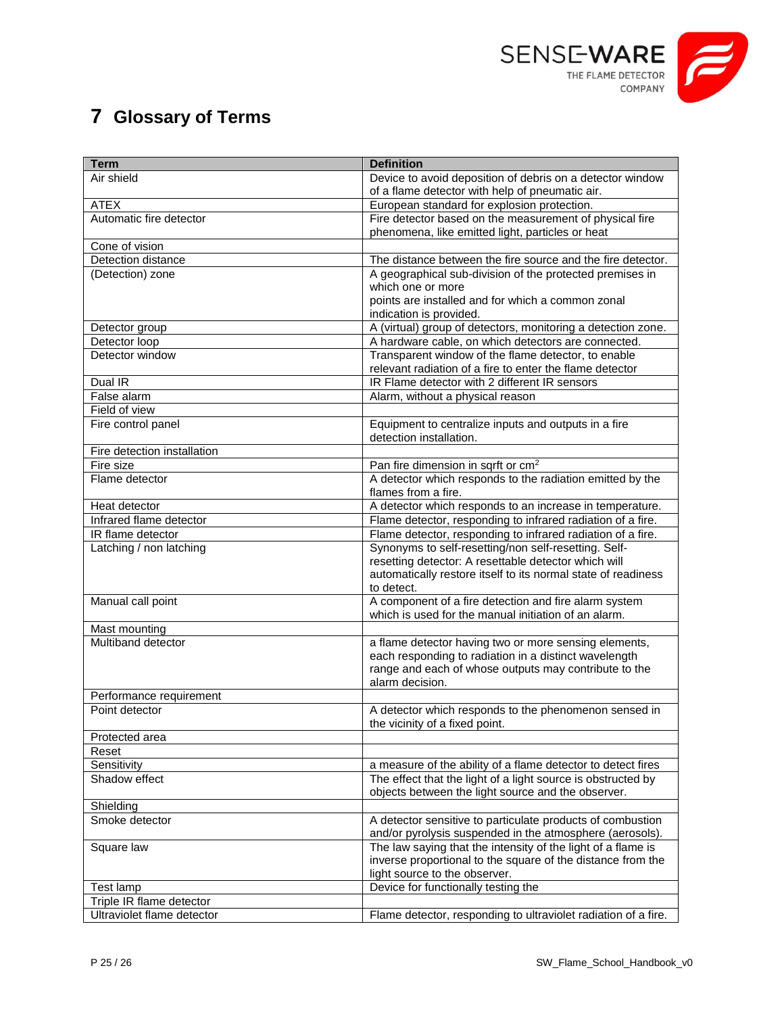

## <span id="page-24-0"></span>**7 Glossary of Terms**

| <b>Term</b>                           | <b>Definition</b>                                                             |
|---------------------------------------|-------------------------------------------------------------------------------|
| Air shield                            | Device to avoid deposition of debris on a detector window                     |
|                                       | of a flame detector with help of pneumatic air.                               |
| <b>ATEX</b>                           | European standard for explosion protection.                                   |
| Automatic fire detector               | Fire detector based on the measurement of physical fire                       |
|                                       | phenomena, like emitted light, particles or heat                              |
| Cone of vision                        |                                                                               |
| Detection distance                    | The distance between the fire source and the fire detector.                   |
| (Detection) zone                      | A geographical sub-division of the protected premises in<br>which one or more |
|                                       | points are installed and for which a common zonal                             |
|                                       | indication is provided.                                                       |
| Detector group                        | A (virtual) group of detectors, monitoring a detection zone.                  |
| Detector loop                         | A hardware cable, on which detectors are connected.                           |
| Detector window                       | Transparent window of the flame detector, to enable                           |
|                                       | relevant radiation of a fire to enter the flame detector                      |
| Dual IR                               | IR Flame detector with 2 different IR sensors                                 |
| False alarm                           | Alarm, without a physical reason                                              |
| Field of view                         |                                                                               |
| Fire control panel                    | Equipment to centralize inputs and outputs in a fire                          |
|                                       | detection installation.                                                       |
| Fire detection installation           |                                                                               |
| Fire size                             | Pan fire dimension in sqrft or cm <sup>2</sup>                                |
| Flame detector                        | A detector which responds to the radiation emitted by the                     |
|                                       | flames from a fire.                                                           |
| Heat detector                         | A detector which responds to an increase in temperature.                      |
| Infrared flame detector               | Flame detector, responding to infrared radiation of a fire.                   |
| IR flame detector                     | Flame detector, responding to infrared radiation of a fire.                   |
| Latching / non latching               | Synonyms to self-resetting/non self-resetting. Self-                          |
|                                       | resetting detector: A resettable detector which will                          |
|                                       | automatically restore itself to its normal state of readiness                 |
|                                       | to detect.<br>A component of a fire detection and fire alarm system           |
| Manual call point                     | which is used for the manual initiation of an alarm.                          |
| Mast mounting                         |                                                                               |
| Multiband detector                    | a flame detector having two or more sensing elements,                         |
|                                       | each responding to radiation in a distinct wavelength                         |
|                                       | range and each of whose outputs may contribute to the                         |
|                                       | alarm decision.                                                               |
| Performance requirement               |                                                                               |
| Point detector                        | A detector which responds to the phenomenon sensed in                         |
|                                       | the vicinity of a fixed point.                                                |
| Protected area                        |                                                                               |
| Reset                                 |                                                                               |
| Sensitivity                           | a measure of the ability of a flame detector to detect fires                  |
| Shadow effect                         | The effect that the light of a light source is obstructed by                  |
|                                       | objects between the light source and the observer.                            |
| Shielding                             |                                                                               |
| Smoke detector                        | A detector sensitive to particulate products of combustion                    |
|                                       | and/or pyrolysis suspended in the atmosphere (aerosols).                      |
| Square law                            | The law saying that the intensity of the light of a flame is                  |
|                                       | inverse proportional to the square of the distance from the                   |
|                                       | light source to the observer.<br>Device for functionally testing the          |
| Test lamp<br>Triple IR flame detector |                                                                               |
| Ultraviolet flame detector            | Flame detector, responding to ultraviolet radiation of a fire.                |
|                                       |                                                                               |